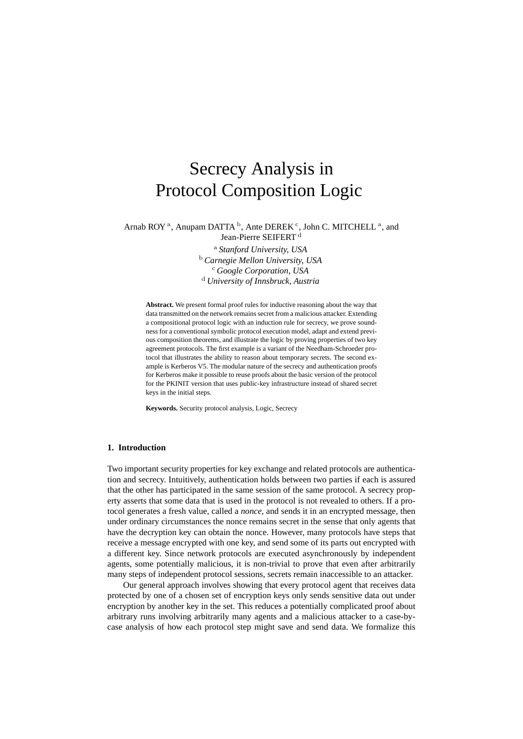# Secrecy Analysis in Protocol Composition Logic

Arnab ROY<sup>a</sup>, Anupam DATTA<sup>b</sup>, Ante DEREK<sup>c</sup>, John C. MITCHELL<sup>a</sup>, and Jean-Pierre SEIFERT<sup>d</sup>

> <sup>a</sup> *Stanford University, USA* <sup>b</sup> *Carnegie Mellon University, USA* <sup>c</sup> *Google Corporation, USA* <sup>d</sup> *University of Innsbruck, Austria*

**Abstract.** We present formal proof rules for inductive reasoning about the way that data transmitted on the network remains secret from a malicious attacker. Extending a compositional protocol logic with an induction rule for secrecy, we prove soundness for a conventional symbolic protocol execution model, adapt and extend previous composition theorems, and illustrate the logic by proving properties of two key agreement protocols. The first example is a variant of the Needham-Schroeder protocol that illustrates the ability to reason about temporary secrets. The second example is Kerberos V5. The modular nature of the secrecy and authentication proofs for Kerberos make it possible to reuse proofs about the basic version of the protocol for the PKINIT version that uses public-key infrastructure instead of shared secret keys in the initial steps.

**Keywords.** Security protocol analysis, Logic, Secrecy

#### **1. Introduction**

Two important security properties for key exchange and related protocols are authentication and secrecy. Intuitively, authentication holds between two parties if each is assured that the other has participated in the same session of the same protocol. A secrecy property asserts that some data that is used in the protocol is not revealed to others. If a protocol generates a fresh value, called a *nonce*, and sends it in an encrypted message, then under ordinary circumstances the nonce remains secret in the sense that only agents that have the decryption key can obtain the nonce. However, many protocols have steps that receive a message encrypted with one key, and send some of its parts out encrypted with a different key. Since network protocols are executed asynchronously by independent agents, some potentially malicious, it is non-trivial to prove that even after arbitrarily many steps of independent protocol sessions, secrets remain inaccessible to an attacker.

Our general approach involves showing that every protocol agent that receives data protected by one of a chosen set of encryption keys only sends sensitive data out under encryption by another key in the set. This reduces a potentially complicated proof about arbitrary runs involving arbitrarily many agents and a malicious attacker to a case-bycase analysis of how each protocol step might save and send data. We formalize this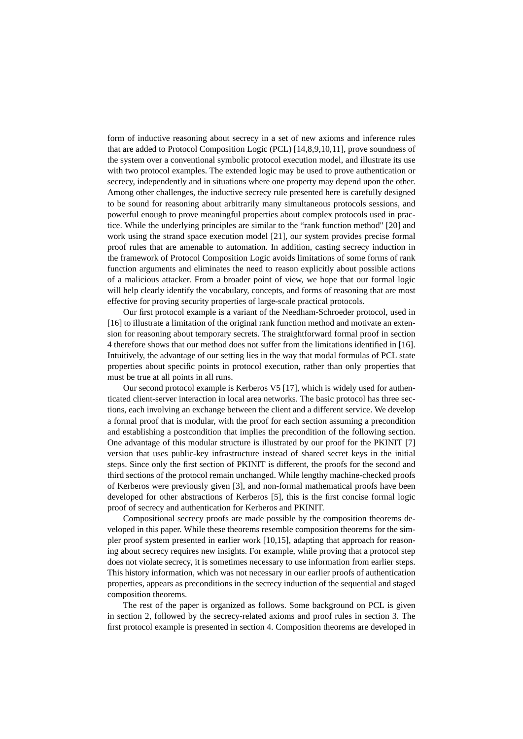form of inductive reasoning about secrecy in a set of new axioms and inference rules that are added to Protocol Composition Logic (PCL) [14,8,9,10,11], prove soundness of the system over a conventional symbolic protocol execution model, and illustrate its use with two protocol examples. The extended logic may be used to prove authentication or secrecy, independently and in situations where one property may depend upon the other. Among other challenges, the inductive secrecy rule presented here is carefully designed to be sound for reasoning about arbitrarily many simultaneous protocols sessions, and powerful enough to prove meaningful properties about complex protocols used in practice. While the underlying principles are similar to the "rank function method" [20] and work using the strand space execution model [21], our system provides precise formal proof rules that are amenable to automation. In addition, casting secrecy induction in the framework of Protocol Composition Logic avoids limitations of some forms of rank function arguments and eliminates the need to reason explicitly about possible actions of a malicious attacker. From a broader point of view, we hope that our formal logic will help clearly identify the vocabulary, concepts, and forms of reasoning that are most effective for proving security properties of large-scale practical protocols.

Our first protocol example is a variant of the Needham-Schroeder protocol, used in [16] to illustrate a limitation of the original rank function method and motivate an extension for reasoning about temporary secrets. The straightforward formal proof in section 4 therefore shows that our method does not suffer from the limitations identified in [16]. Intuitively, the advantage of our setting lies in the way that modal formulas of PCL state properties about specific points in protocol execution, rather than only properties that must be true at all points in all runs.

Our second protocol example is Kerberos V5 [17], which is widely used for authenticated client-server interaction in local area networks. The basic protocol has three sections, each involving an exchange between the client and a different service. We develop a formal proof that is modular, with the proof for each section assuming a precondition and establishing a postcondition that implies the precondition of the following section. One advantage of this modular structure is illustrated by our proof for the PKINIT [7] version that uses public-key infrastructure instead of shared secret keys in the initial steps. Since only the first section of PKINIT is different, the proofs for the second and third sections of the protocol remain unchanged. While lengthy machine-checked proofs of Kerberos were previously given [3], and non-formal mathematical proofs have been developed for other abstractions of Kerberos [5], this is the first concise formal logic proof of secrecy and authentication for Kerberos and PKINIT.

Compositional secrecy proofs are made possible by the composition theorems developed in this paper. While these theorems resemble composition theorems for the simpler proof system presented in earlier work [10,15], adapting that approach for reasoning about secrecy requires new insights. For example, while proving that a protocol step does not violate secrecy, it is sometimes necessary to use information from earlier steps. This history information, which was not necessary in our earlier proofs of authentication properties, appears as preconditions in the secrecy induction of the sequential and staged composition theorems.

The rest of the paper is organized as follows. Some background on PCL is given in section 2, followed by the secrecy-related axioms and proof rules in section 3. The first protocol example is presented in section 4. Composition theorems are developed in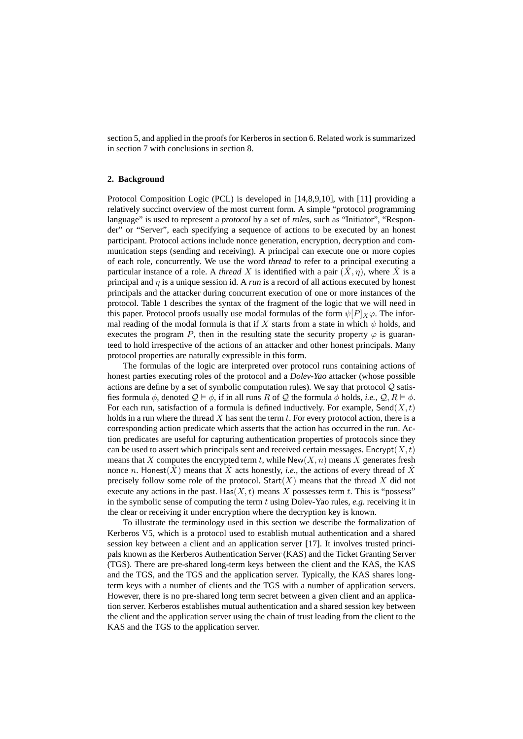section 5, and applied in the proofs for Kerberos in section 6. Related work is summarized in section 7 with conclusions in section 8.

#### **2. Background**

Protocol Composition Logic (PCL) is developed in [14,8,9,10], with [11] providing a relatively succinct overview of the most current form. A simple "protocol programming language" is used to represent a *protocol* by a set of *roles*, such as "Initiator", "Responder" or "Server", each specifying a sequence of actions to be executed by an honest participant. Protocol actions include nonce generation, encryption, decryption and communication steps (sending and receiving). A principal can execute one or more copies of each role, concurrently. We use the word *thread* to refer to a principal executing a particular instance of a role. A *thread* X is identified with a pair  $(\hat{X}, \eta)$ , where  $\hat{X}$  is a principal and η is a unique session id. A *run* is a record of all actions executed by honest principals and the attacker during concurrent execution of one or more instances of the protocol. Table 1 describes the syntax of the fragment of the logic that we will need in this paper. Protocol proofs usually use modal formulas of the form  $\psi[P]_X\varphi$ . The informal reading of the modal formula is that if X starts from a state in which  $\psi$  holds, and executes the program P, then in the resulting state the security property  $\varphi$  is guaranteed to hold irrespective of the actions of an attacker and other honest principals. Many protocol properties are naturally expressible in this form.

The formulas of the logic are interpreted over protocol runs containing actions of honest parties executing roles of the protocol and a *Dolev-Yao* attacker (whose possible actions are define by a set of symbolic computation rules). We say that protocol  $Q$  satisfies formula  $\phi$ , denoted  $\mathcal{Q} \models \phi$ , if in all runs R of  $\mathcal{Q}$  the formula  $\phi$  holds, *i.e.*,  $\mathcal{Q}, R \models \phi$ . For each run, satisfaction of a formula is defined inductively. For example,  $\mathsf{Send}(X, t)$ holds in a run where the thread  $X$  has sent the term  $t$ . For every protocol action, there is a corresponding action predicate which asserts that the action has occurred in the run. Action predicates are useful for capturing authentication properties of protocols since they can be used to assert which principals sent and received certain messages. Encrypt $(X, t)$ means that X computes the encrypted term t, while  $New(X, n)$  means X generates fresh nonce *n*. Honest( $\hat{X}$ ) means that  $\hat{X}$  acts honestly, *i.e.*, the actions of every thread of  $\hat{X}$ precisely follow some role of the protocol. Start $(X)$  means that the thread X did not execute any actions in the past. Has( $X, t$ ) means X possesses term t. This is "possess" in the symbolic sense of computing the term t using Dolev-Yao rules, *e.g.* receiving it in the clear or receiving it under encryption where the decryption key is known.

To illustrate the terminology used in this section we describe the formalization of Kerberos V5, which is a protocol used to establish mutual authentication and a shared session key between a client and an application server [17]. It involves trusted principals known as the Kerberos Authentication Server (KAS) and the Ticket Granting Server (TGS). There are pre-shared long-term keys between the client and the KAS, the KAS and the TGS, and the TGS and the application server. Typically, the KAS shares longterm keys with a number of clients and the TGS with a number of application servers. However, there is no pre-shared long term secret between a given client and an application server. Kerberos establishes mutual authentication and a shared session key between the client and the application server using the chain of trust leading from the client to the KAS and the TGS to the application server.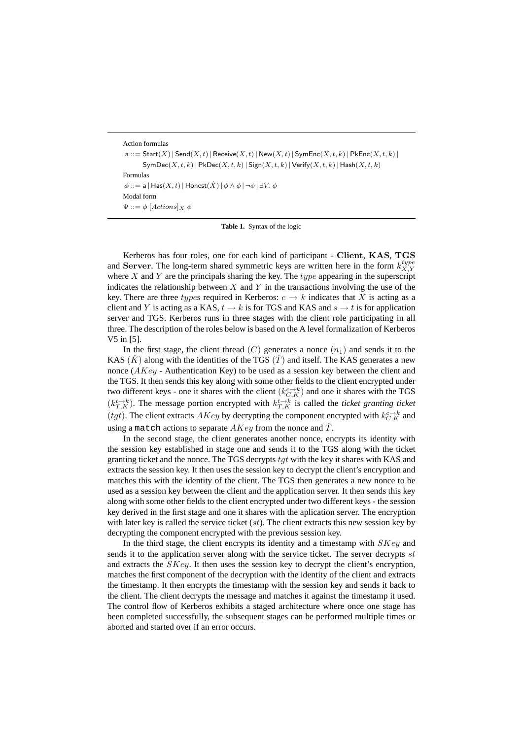```
Action formulas
a ::= \text{Start}(X) | \text{Send}(X, t) | \text{Received}(X, t) | \text{New}(X, t) | \text{SymEnc}(X, t, k) | \text{PkEnc}(X, t, k) |SymDec(X, t, k) | PkDec(X, t, k) | Sign(X, t, k) | Verify(X, t, k) | Hash(X, t, k)Formulas
\phi ::= \mathsf{a} \,|\, \mathsf{Has}(X,t)\,| \,\mathsf{Honest}(\hat{X}) \,|\, \phi \land \phi \,|\, \neg \phi \,|\, \exists V. \; \phiModal form
\Psi ::= \phi [Actions]X \phi
```
**Table 1.** Syntax of the logic

Kerberos has four roles, one for each kind of participant - Client, KAS, TGS and Server. The long-term shared symmetric keys are written here in the form  $k_{X,Y}^{type}$ where  $X$  and  $Y$  are the principals sharing the key. The  $type$  appearing in the superscript indicates the relationship between  $X$  and  $Y$  in the transactions involving the use of the key. There are three types required in Kerberos:  $c \rightarrow k$  indicates that X is acting as a client and Y is acting as a KAS,  $t \to k$  is for TGS and KAS and  $s \to t$  is for application server and TGS. Kerberos runs in three stages with the client role participating in all three. The description of the roles below is based on the A level formalization of Kerberos V5 in [5].

In the first stage, the client thread  $(C)$  generates a nonce  $(n_1)$  and sends it to the KAS  $(\hat{K})$  along with the identities of the TGS  $(\hat{T})$  and itself. The KAS generates a new nonce  $(AKey - Authentication Key)$  to be used as a session key between the client and the TGS. It then sends this key along with some other fields to the client encrypted under two different keys - one it shares with the client  $(k_{C,K}^{c\rightarrow k})$  and one it shares with the TGS  $(k_{T,K}^{t\to k})$ . The message portion encrypted with  $k_{T,K}^{t\to k}$  is called the *ticket granting ticket* (*tgt*). The client extracts  $AKey$  by decrypting the component encrypted with  $k_{C,K}^{c\rightarrow k}$  and using a match actions to separate  $AKey$  from the nonce and  $\hat{T}$ .

In the second stage, the client generates another nonce, encrypts its identity with the session key established in stage one and sends it to the TGS along with the ticket granting ticket and the nonce. The TGS decrypts  $tgt$  with the key it shares with KAS and extracts the session key. It then uses the session key to decrypt the client's encryption and matches this with the identity of the client. The TGS then generates a new nonce to be used as a session key between the client and the application server. It then sends this key along with some other fields to the client encrypted under two different keys - the session key derived in the first stage and one it shares with the aplication server. The encryption with later key is called the service ticket  $(st)$ . The client extracts this new session key by decrypting the component encrypted with the previous session key.

In the third stage, the client encrypts its identity and a timestamp with  $SKey$  and sends it to the application server along with the service ticket. The server decrypts st and extracts the  $SKey$ . It then uses the session key to decrypt the client's encryption, matches the first component of the decryption with the identity of the client and extracts the timestamp. It then encrypts the timestamp with the session key and sends it back to the client. The client decrypts the message and matches it against the timestamp it used. The control flow of Kerberos exhibits a staged architecture where once one stage has been completed successfully, the subsequent stages can be performed multiple times or aborted and started over if an error occurs.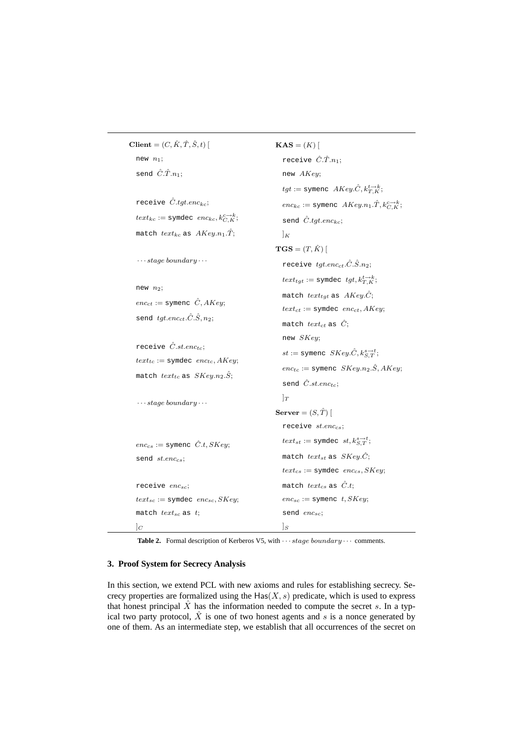```
Client = (C, \hat{K}, \hat{T}, \hat{S}, t) [
  new n_1;
  send \hat{C} \hat{T} \cdot n_1:
   receive \hat{C}.tgt. enc_{kc};text_{kc} := \texttt{symdec} \textit{ enc}_{kc}, k_{C,K}^{c \rightarrow k};match text_{kc} as AKey.n_1.\hat{T};
   \cdots stage boundary \cdotsnew n_2;
  enc_{ct} := symenc \hat{C}, AKey;
  send tgt.enc_{ct}.\hat{C}.\hat{S}, n_2;
  receive \hat{C}.st. enc_t;
  text_{tc} := symdec enc_{tc}, AKey;match text_{tc} as SKey.n_2.\hat{S};
   \cdots stage boundary \cdotsenc_{cs} := symenc \hat{C}.t, SKey;send st.enc_{cs};
  receive enc_{sc};
  text_{sc} := symdec enc_{sc}, Skey;
  match text_{sc} as t;
  |_C\mathbf{KAS} = (K)receive \hat{C}.\hat{T}.n_1;
                                                                 new AKey;
                                                                  tgt:= symenc \; AKey.\hat{C},k_{T,K}^{t\rightarrow k};enc_{kc} := \text{symenc } AKey.n_1.\hat{T}, k_{C,K}^{c\rightarrow k};send \hat{C}.tgt. enc_{kc};\vert_KTGS = (T, \hat{K}) |
                                                                 receive tqt. enc_{ct}. \hat{C}. \hat{S}.n_2;text_{tgt} := \texttt{symdec } \textit{tgt}, k_{T,K}^{t \rightarrow k};match text_{t}as AKey.\hat{C};
                                                                 text_{ct} := symdec enc_{ct}, AKey;match text_{ct} as \hat{C};
                                                                 new SKey;
                                                                  st := symenc SKey.\hat{C}, k^{s \rightarrow t}_{S,T};enc_{tc} := symenc SKey.n_2.\hat{S}, AKey;send \hat{C}.st. enctc;\vert_TServer = (S, \hat{T}) [
                                                                 receive st. enc_{cs};
                                                                  text_{st} := \texttt{symdec } st, k_{S,T}^{s \rightarrow t};match text_{st} as SKey.\hat{C};
                                                                 text_{cs} := symdec enc_{cs}, SKey;
                                                                 match text_{cs} as \hat{C}.t;
                                                                 enc_{sc} := symenc t, SKey;send enc_{sc};
                                                                 \vert_S
```
**Table 2.** Formal description of Kerberos V5, with  $\cdots$  stage boundary  $\cdots$  comments.

# **3. Proof System for Secrecy Analysis**

In this section, we extend PCL with new axioms and rules for establishing secrecy. Secrecy properties are formalized using the  $\text{Has}(X, s)$  predicate, which is used to express that honest principal  $\overline{X}$  has the information needed to compute the secret  $s$ . In a typical two party protocol,  $\overline{X}$  is one of two honest agents and s is a nonce generated by one of them. As an intermediate step, we establish that all occurrences of the secret on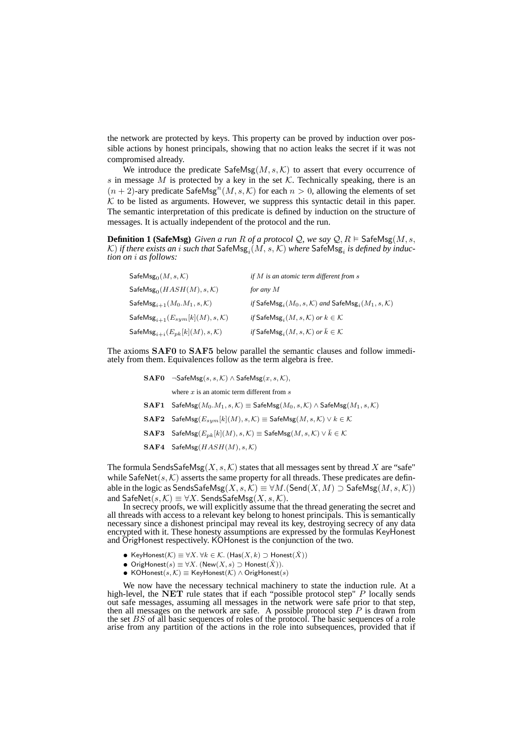the network are protected by keys. This property can be proved by induction over possible actions by honest principals, showing that no action leaks the secret if it was not compromised already.

We introduce the predicate  $\mathsf{SafeMsg}(M, s, \mathcal{K})$  to assert that every occurrence of s in message M is protected by a key in the set  $K$ . Technically speaking, there is an  $(n+2)$ -ary predicate SafeMsg<sup>n</sup> $(M, s, \mathcal{K})$  for each  $n > 0$ , allowing the elements of set  $K$  to be listed as arguments. However, we suppress this syntactic detail in this paper. The semantic interpretation of this predicate is defined by induction on the structure of messages. It is actually independent of the protocol and the run.

**Definition 1 (SafeMsg)** *Given a run* R of a protocol Q, we say  $Q, R \models$  SafeMsg(M, s,  $(\mathcal{K})$  if there exists an  $i$  such that  $\mathsf{SafeMsg}_i(M,s,\mathcal{K})$  where  $\mathsf{SafeMsg}_i$  is defined by induc*tion on* i *as follows:*

| $\mathsf{SafeMsg}_0(M, s, \mathcal{K})$                 | if $M$ is an atomic term different from $s$                                   |
|---------------------------------------------------------|-------------------------------------------------------------------------------|
| $SafeMsg_0(HASH(M), s, \mathcal{K})$                    | for any $M$                                                                   |
| $\mathsf{SafeMsg}_{i+1}(M_0.M_1, s, \mathcal{K})$       | if Safe $Msg_i(M_0, s, \mathcal{K})$ and Safe $Msg_i(M_1, s, \mathcal{K})$    |
| $\mathsf{SafeMsg}_{i+1}(E_{sym}[k](M), s, \mathcal{K})$ | if SafeMsg <sub>i</sub> $(M, s, \mathcal{K})$ or $k \in \mathcal{K}$          |
| $\mathsf{SafeMsg}_{i+i}(E_{pk}[k](M), s, \mathcal{K})$  | if Safe $\mathsf{Msg}_i(M, s, \mathcal{K})$ or $\overline{k} \in \mathcal{K}$ |

The axioms SAF0 to SAF5 below parallel the semantic clauses and follow immediately from them. Equivalences follow as the term algebra is free.

> SAF0 ¬SafeMsg(s, s, K) ∧ SafeMsg(x, s, K), where  $x$  is an atomic term different from  $s$ SAF1 SafeMsg $(M_0, M_1, s, \mathcal{K}) \equiv$  SafeMsg $(M_0, s, \mathcal{K}) \wedge$  SafeMsg $(M_1, s, \mathcal{K})$ SAF2 SafeMsg $(E_{sum}[k](M), s, \mathcal{K}) \equiv$  SafeMsg $(M, s, \mathcal{K}) \vee k \in \mathcal{K}$ SAF3 SafeMsg $(E_{pk}[k](M), s, \mathcal{K}) \equiv$  SafeMsg $(M, s, \mathcal{K}) \vee \bar{k} \in \mathcal{K}$ SAF4 SafeMsg $(HASH(M), s, \mathcal{K})$

The formula SendsSafeMsg( $X, s, \mathcal{K}$ ) states that all messages sent by thread X are "safe" while  $\mathsf{SafeNet}(s, \mathcal{K})$  asserts the same property for all threads. These predicates are definable in the logic as SendsSafeMsg( $X, s, \mathcal{K}$ )  $\equiv \forall M$ . (Send $(X, M) \supset$  SafeMsg( $M, s, \mathcal{K}$ )) and SafeNet $(s, \mathcal{K}) \equiv \forall X$ . SendsSafeMsg $(X, s, \mathcal{K})$ .

In secrecy proofs, we will explicitly assume that the thread generating the secret and all threads with access to a relevant key belong to honest principals. This is semantically necessary since a dishonest principal may reveal its key, destroying secrecy of any data encrypted with it. These honesty assumptions are expressed by the formulas KeyHonest and OrigHonest respectively. KOHonest is the conjunction of the two.

- KeyHonest $(K) \equiv \forall X. \forall k \in \mathcal{K}$ . (Has $(X, k) \supset \mathsf{Honest}(\hat{X})$ )
- OrigHonest $(s) \equiv \forall X$ . (New $(X, s) \supset \mathsf{Honest}(\hat{X})$ ).
- KOHonest $(s, \mathcal{K}) \equiv$  KeyHonest $(\mathcal{K}) \wedge$  OrigHonest $(s)$

We now have the necessary technical machinery to state the induction rule. At a high-level, the NET rule states that if each "possible protocol step"  $P$  locally sends out safe messages, assuming all messages in the network were safe prior to that step, then all messages on the network are safe. A possible protocol step  $P$  is drawn from the set  $BS$  of all basic sequences of roles of the protocol. The basic sequences of a role arise from any partition of the actions in the role into subsequences, provided that if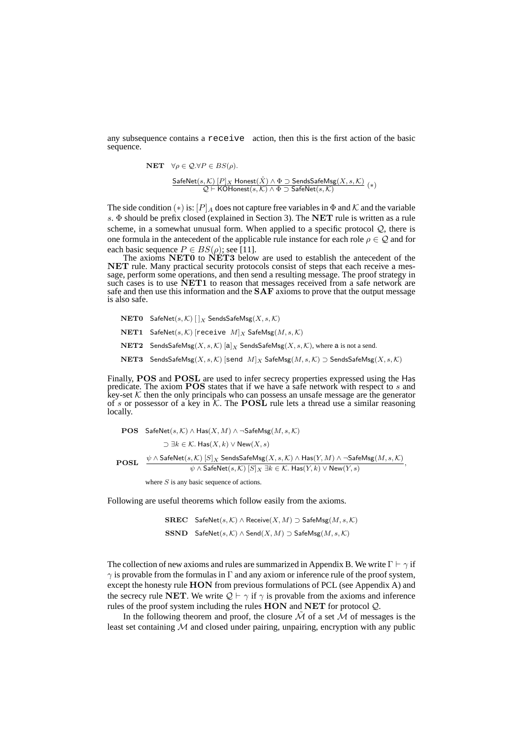any subsequence contains a receive action, then this is the first action of the basic sequence.

**NET** 
$$
\forall \rho \in \mathcal{Q}.\forall P \in BS(\rho).
$$

$$
\dfrac{\mathsf{SafeNet}(s,\mathcal{K})\left[P\right]_{X}\mathsf{Honest}(\hat{X}) \wedge \Phi \supset \mathsf{SendsSafeMsg}(X,s,\mathcal{K})}{\mathcal{Q} \vdash \mathsf{KOHonest}(s,\mathcal{K}) \wedge \Phi \supset \mathsf{SafeNet}(s,\mathcal{K})} \; (*)
$$

The side condition (\*) is:  $[P]_A$  does not capture free variables in  $\Phi$  and  $\mathcal K$  and the variable s. Φ should be prefix closed (explained in Section 3). The NET rule is written as a rule scheme, in a somewhat unusual form. When applied to a specific protocol  $Q$ , there is one formula in the antecedent of the applicable rule instance for each role  $\rho \in \mathcal{Q}$  and for each basic sequence  $P \in BS(\rho)$ ; see [11].

The axioms NET0 to NET3 below are used to establish the antecedent of the NET rule. Many practical security protocols consist of steps that each receive a message, perform some operations, and then send a resulting message. The proof strategy in such cases is to use NET1 to reason that messages received from a safe network are safe and then use this information and the SAF axioms to prove that the output message is also safe.

- **NET0** SafeNet $(s, K)$  [ ] x SendsSafeMsg $(X, s, K)$
- **NET1** SafeNet(s, K) [receive  $M|_X$  SafeMsg( $M$ , s, K)]
- **NET2** SendsSafeMsg $(X, s, \mathcal{K})$  [a]<sub>X</sub> SendsSafeMsg $(X, s, \mathcal{K})$ , where a is not a send.
- NET3 SendsSafeMsg(X, s, K) [send  $M|_X$  SafeMsg( $M$ , s, K)  $\supset$  SendsSafeMsg( $X$ , s, K)

Finally, POS and POSL are used to infer secrecy properties expressed using the Has predicate. The axiom POS states that if we have a safe network with respect to s and key-set  $K$  then the only principals who can possess an unsafe message are the generator of s or possessor of a key in  $K$ . The **POSL** rule lets a thread use a similar reasoning locally.

$$
\begin{aligned} \textbf{POS} \quad & \textsf{SafeNet}(s, \mathcal{K}) \wedge \textsf{Has}(X, M) \wedge \neg \textsf{SafeMsg}(M, s, \mathcal{K}) \\ & \supset \exists k \in \mathcal{K}.~\textsf{Has}(X, k) \vee \textsf{New}(X, s) \\ & \textbf{POSL} \quad \frac{\psi \wedge \textsf{SafeNet}(s, \mathcal{K}) \left[ S \right]_{X} \; \textsf{SendsSafeMsg}(X, s, \mathcal{K}) \wedge \textsf{Has}(Y, M) \wedge \neg \textsf{SafeMsg}(M, s, \mathcal{K}) }{\psi \wedge \textsf{SafeNet}(s, \mathcal{K}) \left[ S \right]_{X} \; \exists k \in \mathcal{K}.~\textsf{Has}(Y, k) \vee \textsf{New}(Y, s) } \end{aligned}
$$

,

where  $S$  is any basic sequence of actions.

Following are useful theorems which follow easily from the axioms.

SREC SafeNet(s, K) ∧ Receive(X, M)  $\supset$  SafeMsg(M, s, K) SSND SafeNet $(s, K) \wedge$  Send $(X, M) \supset$  SafeMsg $(M, s, K)$ 

The collection of new axioms and rules are summarized in Appendix B. We write  $\Gamma \vdash \gamma$  if  $\gamma$  is provable from the formulas in Γ and any axiom or inference rule of the proof system, except the honesty rule HON from previous formulations of PCL (see Appendix A) and the secrecy rule NET. We write  $Q \vdash \gamma$  if  $\gamma$  is provable from the axioms and inference rules of the proof system including the rules HON and NET for protocol Q.

In the following theorem and proof, the closure  $M$  of a set  $M$  of messages is the least set containing  $M$  and closed under pairing, unpairing, encryption with any public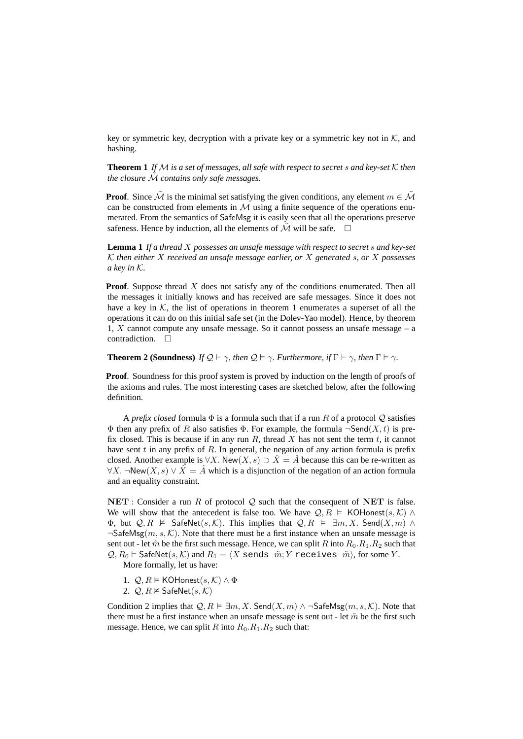key or symmetric key, decryption with a private key or a symmetric key not in  $K$ , and hashing.

**Theorem 1** *If* M *is a set of messages, all safe with respect to secret* s *and key-set* K *then the closure*  $\tilde{\mathcal{M}}$  *contains only safe messages.* 

**Proof**. Since  $\hat{\mathcal{M}}$  is the minimal set satisfying the given conditions, any element  $m \in \hat{\mathcal{M}}$ can be constructed from elements in  $M$  using a finite sequence of the operations enumerated. From the semantics of SafeMsg it is easily seen that all the operations preserve safeness. Hence by induction, all the elements of  $\tilde{\mathcal{M}}$  will be safe.  $\Box$ 

**Lemma 1** *If a thread* X *possesses an unsafe message with respect to secret* s *and key-set* K *then either* X *received an unsafe message earlier, or* X *generated* s*, or* X *possesses*  $a$  key in  $K$ .

**Proof.** Suppose thread X does not satisfy any of the conditions enumerated. Then all the messages it initially knows and has received are safe messages. Since it does not have a key in  $K$ , the list of operations in theorem 1 enumerates a superset of all the operations it can do on this initial safe set (in the Dolev-Yao model). Hence, by theorem 1, X cannot compute any unsafe message. So it cannot possess an unsafe message – a contradiction.  $\square$ 

**Theorem 2 (Soundness)** *If*  $\mathcal{Q} \vdash \gamma$ *, then*  $\mathcal{Q} \models \gamma$ *. Furthermore, if*  $\Gamma \vdash \gamma$ *, then*  $\Gamma \models \gamma$ *.* 

**Proof.** Soundness for this proof system is proved by induction on the length of proofs of the axioms and rules. The most interesting cases are sketched below, after the following definition.

A *prefix closed* formula  $\Phi$  is a formula such that if a run R of a protocol Q satisfies Φ then any prefix of R also satisfies Φ. For example, the formula ¬Send(X, t) is prefix closed. This is because if in any run  $R$ , thread  $X$  has not sent the term  $t$ , it cannot have sent  $t$  in any prefix of  $R$ . In general, the negation of any action formula is prefix closed. Another example is  $\forall X$ . New $(X, s) \supset \hat{X} = \hat{A}$  because this can be re-written as  $\forall X$ . ¬New $(X, s)$   $\lor$   $X = A$  which is a disjunction of the negation of an action formula and an equality constraint.

**NET**: Consider a run R of protocol Q such that the consequent of **NET** is false. We will show that the antecedent is false too. We have  $Q, R \models \text{KOHonest}(s, \mathcal{K}) \land$  $\Phi$ , but  $Q, R \nvDash$  SafeNet(s, K). This implies that  $Q, R \vDash \exists m, X$ . Send $(X, m) \wedge$  $\neg$ SafeMsg $(m, s, \mathcal{K})$ . Note that there must be a first instance when an unsafe message is sent out - let  $\tilde{m}$  be the first such message. Hence, we can split R into  $R_0, R_1, R_2$  such that  $Q, R_0 \vDash \mathsf{SafeNet}(s, \mathcal{K})$  and  $R_1 = \langle X \text{ sends } \tilde{m} \rangle$ ;  $Y$  receives  $\tilde{m}$ ), for some Y.

More formally, let us have:

1.  $Q, R \models$  KOHonest $(s, \mathcal{K}) \land \Phi$ 2.  $Q, R \nvDash$  SafeNet $(s, \mathcal{K})$ 

Condition 2 implies that  $Q, R \vDash \exists m, X$ . Send $(X, m) \wedge \neg \mathsf{SafeMsg}(m, s, \mathcal{K})$ . Note that there must be a first instance when an unsafe message is sent out - let  $\tilde{m}$  be the first such message. Hence, we can split R into  $R_0.R_1.R_2$  such that: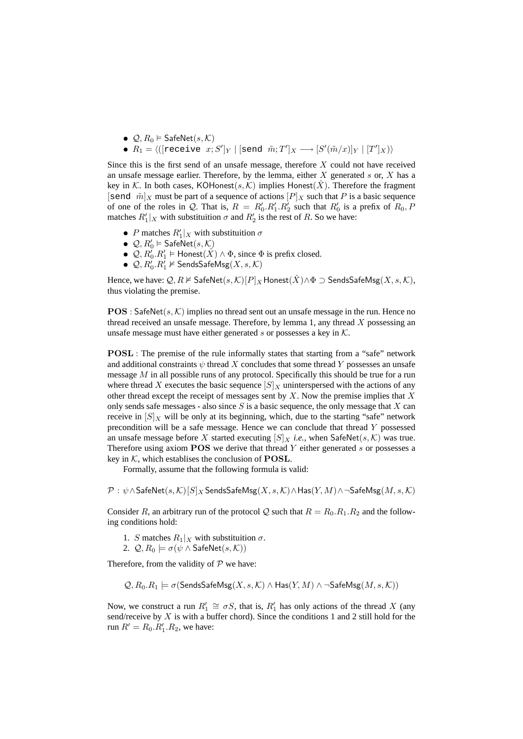- $\mathcal{Q}, R_0 \vDash$  SafeNet $(s, \mathcal{K})$
- $\bullet$   $R_1 = \langle ([\texttt{receive } x; S']_Y \mid [\texttt{send } \tilde{m}; T']_X \longrightarrow [S'(\tilde{m}/x)]_Y \mid [T']_X) \rangle$

Since this is the first send of an unsafe message, therefore X could not have received an unsafe message earlier. Therefore, by the lemma, either  $X$  generated  $s$  or,  $X$  has a key in K. In both cases, KOHonest(s, K) implies Honest(X). Therefore the fragment [send  $\tilde{m}$ ]<sub>X</sub> must be part of a sequence of actions  $[P]$ <sub>X</sub> such that P is a basic sequence of one of the roles in Q. That is,  $R = R'_0 \cdot R'_1 \cdot R'_2$  such that  $R'_0$  is a prefix of  $R_0, R'_1, R'_2$ matches  $R'_1|_X$  with substituition  $\sigma$  and  $R'_2$  is the rest of R. So we have:

- P matches  $R'_1|_X$  with substituition  $\sigma$
- $\bullet$  Q,  $R'_0 \vDash$  SafeNet $(s, \mathcal{K})$
- $Q, R'_0, R'_1 \models$  Honest $(\hat{X}) \wedge \Phi$ , since  $\Phi$  is prefix closed.
- $\bullet$  Q,  $R_{0}^{\prime}.R_{1}^{\prime}$   $\neq$  SendsSafeMsg $(X,s,\mathcal{K})$

Hence, we have:  $Q, R \nvDash \mathsf{SafeNet}(s, \mathcal{K})[P] \times \mathsf{Honest}(\hat{X}) \wedge \Phi \supset \mathsf{SendsSafeMsg}(X, s, \mathcal{K}),$ thus violating the premise.

**POS** : SafeNet(s, K) implies no thread sent out an unsafe message in the run. Hence no thread received an unsafe message. Therefore, by lemma 1, any thread  $X$  possessing an unsafe message must have either generated s or possesses a key in  $K$ .

POSL : The premise of the rule informally states that starting from a "safe" network and additional constraints  $\psi$  thread X concludes that some thread Y possesses an unsafe message  $M$  in all possible runs of any protocol. Specifically this should be true for a run where thread X executes the basic sequence  $[S]_X$  uninterspersed with the actions of any other thread except the receipt of messages sent by  $X$ . Now the premise implies that  $X$ only sends safe messages - also since  $S$  is a basic sequence, the only message that  $X$  can receive in  $[S]_X$  will be only at its beginning, which, due to the starting "safe" network precondition will be a safe message. Hence we can conclude that thread Y possessed an unsafe message before X started executing  $[S]_X$  *i.e.*, when SafeNet(s, K) was true. Therefore using axiom  $POS$  we derive that thread  $Y$  either generated  $s$  or possesses a key in  $K$ , which establises the conclusion of **POSL**.

Formally, assume that the following formula is valid:

 $\mathcal{P}: \psi \wedge$ SafeNet $(s, \mathcal{K})[S]$ <sub>X</sub> SendsSafeMsg $(X, s, \mathcal{K}) \wedge$ Has $(Y, M) \wedge \neg$ SafeMsg $(M, s, \mathcal{K})$ 

Consider R, an arbitrary run of the protocol Q such that  $R = R_0.R_1.R_2$  and the following conditions hold:

- 1. S matches  $R_1|_X$  with substituition  $\sigma$ .
- 2.  $\mathcal{Q}, R_0 \models \sigma(\psi \land \mathsf{SafeNet}(s, \mathcal{K}))$

Therefore, from the validity of  $P$  we have:

 $Q, R_0, R_1 \models \sigma$ (SendsSafeMsg $(X, s, \mathcal{K}) \land$  Has $(Y, M) \land \neg$ SafeMsg $(M, s, \mathcal{K}))$ 

Now, we construct a run  $R'_1 \cong \sigma S$ , that is,  $R'_1$  has only actions of the thread X (any send/receive by  $X$  is with a buffer chord). Since the conditions 1 and 2 still hold for the run  $R' = R_0.R'_1.R_2$ , we have: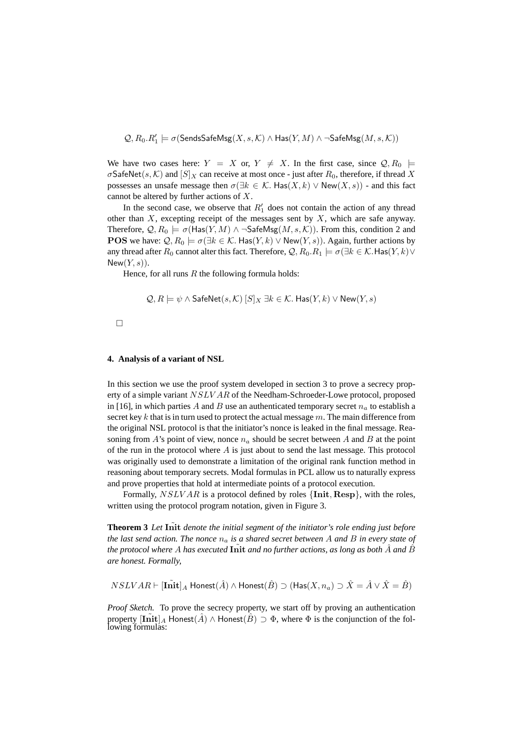$\mathcal{Q}, R_0.R'_1 \models \sigma(\mathsf{SendsSafeMsg}(X,s,\mathcal{K}) \wedge \mathsf{Has}(Y,M) \wedge \neg \mathsf{SafeMsg}(M,s,\mathcal{K}))$ 

We have two cases here:  $Y = X$  or,  $Y \neq X$ . In the first case, since  $\mathcal{Q}, R_0 \models$  $\sigma$ SafeNet(s, K) and  $[S]_X$  can receive at most once - just after  $R_0$ , therefore, if thread X possesses an unsafe message then  $\sigma(\exists k \in \mathcal{K}$ . Has $(X, k) \vee \text{New}(X, s)$  - and this fact cannot be altered by further actions of X.

In the second case, we observe that  $R_1'$  does not contain the action of any thread other than  $X$ , excepting receipt of the messages sent by  $X$ , which are safe anyway. Therefore,  $\mathcal{Q}, R_0 \models \sigma(\text{Has}(Y, M) \land \neg \text{SafeMsg}(M, s, \mathcal{K}))$ . From this, condition 2 and **POS** we have:  $Q, R_0 \models \sigma(\exists k \in \mathcal{K}$ . Has $(Y, k) \vee \text{New}(Y, s)$ . Again, further actions by any thread after  $R_0$  cannot alter this fact. Therefore,  $\mathcal{Q}, R_0, R_1 \models \sigma(\exists k \in \mathcal{K}.\mathsf{Has}(Y, k) \vee \mathcal{K}$  $New(Y, s)$ .

Hence, for all runs  $R$  the following formula holds:

$$
\mathcal{Q}, R \models \psi \land \mathsf{SafeNet}(s, \mathcal{K}) \ [S]_X \ \exists k \in \mathcal{K}.\ \mathsf{Has}(Y, k) \lor \mathsf{New}(Y, s)
$$

$$
\Box
$$

#### **4. Analysis of a variant of NSL**

In this section we use the proof system developed in section 3 to prove a secrecy property of a simple variant NSLV AR of the Needham-Schroeder-Lowe protocol, proposed in [16], in which parties A and B use an authenticated temporary secret  $n_a$  to establish a secret key  $k$  that is in turn used to protect the actual message  $m$ . The main difference from the original NSL protocol is that the initiator's nonce is leaked in the final message. Reasoning from A's point of view, nonce  $n_a$  should be secret between A and B at the point of the run in the protocol where  $A$  is just about to send the last message. This protocol was originally used to demonstrate a limitation of the original rank function method in reasoning about temporary secrets. Modal formulas in PCL allow us to naturally express and prove properties that hold at intermediate points of a protocol execution.

Formally,  $NSLVAR$  is a protocol defined by roles  $\{Init, Resp\}$ , with the roles, written using the protocol program notation, given in Figure 3.

**Theorem 3** Let Init *denote the initial segment of the initiator's role ending just before the last send action. The nonce*  $n_a$  *is a shared secret between* A *and* B *in every state of the protocol where* A has executed **Init** and no further actions, as long as both  $\hat{A}$  and  $\hat{B}$ *are honest. Formally,*

 $NSLVAR \vdash [\tilde{\mathbf{Init}}]_A$  Honest $(\hat{A}) \wedge$  Honest $(\hat{B}) \supset (\mathsf{Has}(X, n_a) \supset \hat{X} = \hat{A} \vee \hat{X} = \hat{B})$ 

*Proof Sketch.* To prove the secrecy property, we start off by proving an authentication property  $[\tilde{\mathbf{Init}}]_A$  Honest $(\hat{A}) \wedge$  Honest $(\hat{B}) \supset \Phi$ , where  $\Phi$  is the conjunction of the following formulas: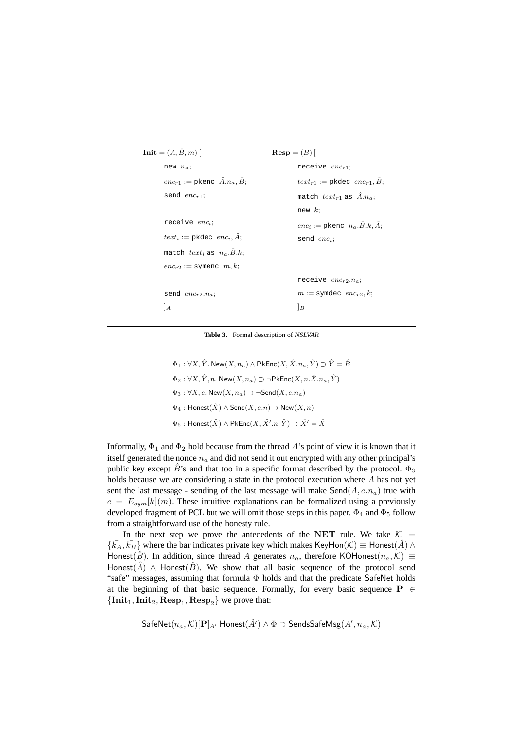| $Init = (A, \hat{B}, m)$                         | $\text{Resp} = (B)$                                |
|--------------------------------------------------|----------------------------------------------------|
| new $n_a$ ;                                      | receive $enc_{r1}$ :                               |
| $enc_{r1} := \text{pkenc }\hat{A}.n_a, \hat{B};$ | $text_{r1} := \text{pkdec}$ enc <sub>r1</sub> , B; |
| send $enc_{r1}$ ;                                | match $text_{r1}$ as $A.n_a$ ;                     |
|                                                  | new $k$ ;                                          |
| receive $enc_i$ ;                                | $enc_i := \text{pkenc } n_a.\hat{B}.k, \hat{A};$   |
| $text_i :=$ pkdec $enc_i$ , $\hat{A}$ ;          | send $enc_i$ :                                     |
| match $text_i$ as $n_a.\hat{B}.k$ ;              |                                                    |
| $enc_{r2} := \text{symenc } m, k;$               |                                                    |
|                                                  | receive $enc_{r2}.n_a$ ;                           |
| send $enc_{r2}.n_a$ ;                            | $m :=$ symdec $enc_{r2}, k$ ;                      |
| A                                                | B                                                  |
|                                                  |                                                    |

**Table 3.** Formal description of *NSLVAR*

 $\Phi_1 : \forall X, \hat{Y}$ . New $(X, n_a) \wedge$  PkEnc $(X, \hat{X}.n_a, \hat{Y}) \supset \hat{Y} = \hat{B}$  $\Phi_2 : \forall X, \hat{Y}, n$ . New $(X, n_a) \supset \neg \mathsf{PkEnc}(X, n, \hat{X}.n_a, \hat{Y})$  $\Phi_3 : \forall X, e$ . New $(X, n_a) \supset \neg$ Send $(X, e, n_a)$  $\Phi_4$ : Honest $(\hat{X}) \wedge$  Send $(X, e.n) \supset \mathsf{New}(X, n)$  $\Phi_5: {\sf{Honest}}(\hat X)\wedge {\sf{PkEnc}}(X, \hat{X'} .n, \hat Y) \supset \hat X' = \hat X$ 

Informally,  $\Phi_1$  and  $\Phi_2$  hold because from the thread A's point of view it is known that it itself generated the nonce  $n_a$  and did not send it out encrypted with any other principal's public key except  $\hat{B}$ 's and that too in a specific format described by the protocol.  $\Phi_3$ holds because we are considering a state in the protocol execution where A has not yet sent the last message - sending of the last message will make  $\text{Send}(A, e.n_a)$  true with  $e = E_{sum}[k](m)$ . These intuitive explanations can be formalized using a previously developed fragment of PCL but we will omit those steps in this paper.  $\Phi_4$  and  $\Phi_5$  follow from a straightforward use of the honesty rule.

In the next step we prove the antecedents of the NET rule. We take  $K =$  $\{\bar{k}_A,\bar{k}_B\}$  where the bar indicates private key which makes KeyHon(K) = Honest( $\hat{A}$ )  $\wedge$ Honest( $\hat{B}$ ). In addition, since thread A generates  $n_a$ , therefore KOHonest( $n_a, K$ )  $\equiv$ Honest( $\hat{A}$ ) ∧ Honest( $\hat{B}$ ). We show that all basic sequence of the protocol send "safe" messages, assuming that formula  $\Phi$  holds and that the predicate SafeNet holds at the beginning of that basic sequence. Formally, for every basic sequence  $P \in$  $\{Init_1,Init_2, Resp_1, Resp_2\}$  we prove that:

$$
\mathsf{SafeNet}(n_a,\mathcal{K})[\mathbf{P}]_{A'}\; \mathsf{Honest}(\hat{A'}) \land \Phi \supset \mathsf{SendsSafeMsg}(A',n_a,\mathcal{K})
$$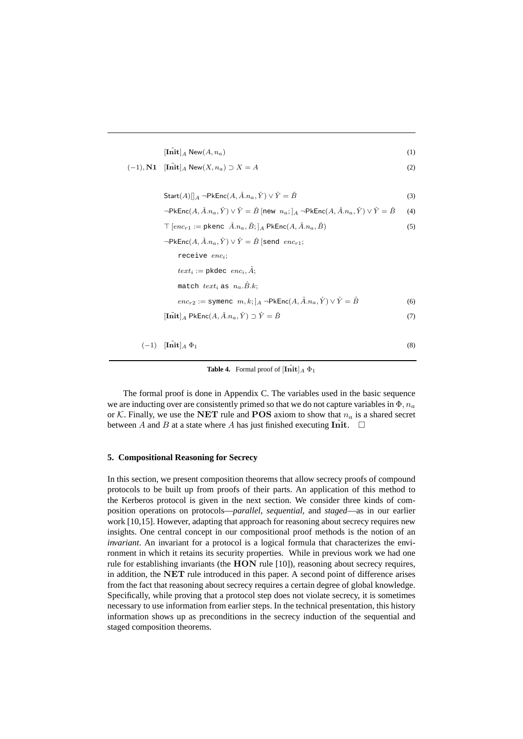| $[\textbf{Init}]_A$ New $(A, n_a)$                                                                                                          | (1) |
|---------------------------------------------------------------------------------------------------------------------------------------------|-----|
| $(-1), N1$ [Init] A New $(X, n_a) \supset X = A$                                                                                            | (2) |
|                                                                                                                                             |     |
| Start $(A)\ _A$ $\neg$ PkEnc $(A, \hat{A}.n_a, \hat{Y}) \vee \hat{Y} = \hat{B}$                                                             | (3) |
| $\neg PkEnc(A, \hat{A}.n_a, \hat{Y}) \vee \hat{Y} = \hat{B}$ [new $n_a$ ; ] $_A \neg PkEnc(A, \hat{A}.n_a, \hat{Y}) \vee \hat{Y} = \hat{B}$ | (4) |
| $\top$ [enc <sub>r1</sub> := pkenc $\hat{A}.n_a, \hat{B}$ ; ] A PkEnc(A, $\hat{A}.n_a, \hat{B}$ )                                           | (5) |
| $\neg PkEnc(A, \hat{A}.n_a, \hat{Y}) \vee \hat{Y} = \hat{B}$ [send <i>enc<sub>r1</sub></i> ;                                                |     |
| receive $enc_i$ ;                                                                                                                           |     |
| $text_i :=$ pkdec $enc_i$ , $\overline{A}$ ;                                                                                                |     |
| match $text_i$ as $n_a.B.k;$                                                                                                                |     |
| $enc_{r2} := \text{symenc } m, k; \mid_A \neg \text{PkEnc}(A, \hat{A}.n_a, \hat{Y}) \vee \hat{Y} = \hat{B}$                                 | (6) |
| $[\tilde{\mathbf{Init}}]_A$ PkEnc $(A, \hat{A}.n_a, \hat{Y}) \supset \hat{Y} = \hat{B}$                                                     | (7) |
|                                                                                                                                             |     |
| $(-1)$ $\left[\text{Init}\right]_A \Phi_1$                                                                                                  | (8) |

**Table 4.** Formal proof of  $[\tilde{\mathbf{Init}}]_A \Phi_1$ 

The formal proof is done in Appendix C. The variables used in the basic sequence we are inducting over are consistently primed so that we do not capture variables in  $\Phi$ ,  $n_a$ or K. Finally, we use the NET rule and POS axiom to show that  $n_a$  is a shared secret between A and B at a state where A has just finished executing **Init.**  $\square$ 

#### **5. Compositional Reasoning for Secrecy**

In this section, we present composition theorems that allow secrecy proofs of compound protocols to be built up from proofs of their parts. An application of this method to the Kerberos protocol is given in the next section. We consider three kinds of composition operations on protocols—*parallel*, *sequential*, and *staged*—as in our earlier work [10,15]. However, adapting that approach for reasoning about secrecy requires new insights. One central concept in our compositional proof methods is the notion of an *invariant*. An invariant for a protocol is a logical formula that characterizes the environment in which it retains its security properties. While in previous work we had one rule for establishing invariants (the HON rule [10]), reasoning about secrecy requires, in addition, the NET rule introduced in this paper. A second point of difference arises from the fact that reasoning about secrecy requires a certain degree of global knowledge. Specifically, while proving that a protocol step does not violate secrecy, it is sometimes necessary to use information from earlier steps. In the technical presentation, this history information shows up as preconditions in the secrecy induction of the sequential and staged composition theorems.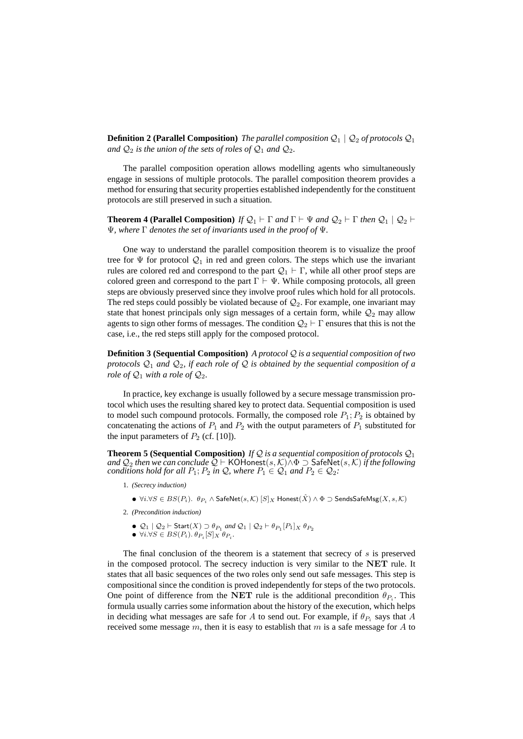**Definition 2 (Parallel Composition)** *The parallel composition*  $Q_1 | Q_2$  *of protocols*  $Q_1$ *and*  $\mathcal{Q}_2$  *is the union of the sets of roles of*  $\mathcal{Q}_1$  *and*  $\mathcal{Q}_2$ *.* 

The parallel composition operation allows modelling agents who simultaneously engage in sessions of multiple protocols. The parallel composition theorem provides a method for ensuring that security properties established independently for the constituent protocols are still preserved in such a situation.

**Theorem 4 (Parallel Composition)** *If*  $\mathcal{Q}_1 \vdash \Gamma$  *and*  $\Gamma \vdash \Psi$  *and*  $\mathcal{Q}_2 \vdash \Gamma$  *then*  $\mathcal{Q}_1 \mid \mathcal{Q}_2 \vdash \Gamma$ Ψ*, where* Γ *denotes the set of invariants used in the proof of* Ψ*.*

One way to understand the parallel composition theorem is to visualize the proof tree for  $\Psi$  for protocol  $\mathcal{Q}_1$  in red and green colors. The steps which use the invariant rules are colored red and correspond to the part  $\mathcal{Q}_1 \vdash \Gamma$ , while all other proof steps are colored green and correspond to the part  $\Gamma \vdash \Psi$ . While composing protocols, all green steps are obviously preserved since they involve proof rules which hold for all protocols. The red steps could possibly be violated because of  $\mathcal{Q}_2$ . For example, one invariant may state that honest principals only sign messages of a certain form, while  $Q_2$  may allow agents to sign other forms of messages. The condition  $\mathcal{Q}_2 \vdash \Gamma$  ensures that this is not the case, i.e., the red steps still apply for the composed protocol.

**Definition 3 (Sequential Composition)** *A protocol* Q *is a sequential composition of two protocols*  $\mathcal{Q}_1$  *and*  $\mathcal{Q}_2$ *, if each role of*  $\mathcal{Q}_2$  *is obtained by the sequential composition of a role of*  $Q_1$  *with a role of*  $Q_2$ *.* 

In practice, key exchange is usually followed by a secure message transmission protocol which uses the resulting shared key to protect data. Sequential composition is used to model such compound protocols. Formally, the composed role  $P_1$ ;  $P_2$  is obtained by concatenating the actions of  $P_1$  and  $P_2$  with the output parameters of  $P_1$  substituted for the input parameters of  $P_2$  (cf. [10]).

**Theorem 5 (Sequential Composition)** *If* Q *is a sequential composition of protocols* Q<sup>1</sup> *and*  $Q_2$  *then we can conclude*  $\mathcal{Q}$  ⊢ KOHonest $(s, \mathcal{K}) \wedge \Phi$  ⊃ SafeNet $(s, \mathcal{K})$  *if the following conditions hold for all*  $P_1$ ;  $P_2$  *in*  $\mathcal{Q}$ *, where*  $P_1 \in \mathcal{Q}_1$  *and*  $P_2 \in \mathcal{Q}_2$ *:* 

- 1. *(Secrecy induction)*
	- $\forall i.\forall S \in BS(P_i)$ .  $\theta_{P_i} \wedge$  SafeNet $(s, K)$   $[S]_X$  Honest $(\hat{X}) \wedge \Phi \supset$  SendsSafeMsg $(X, s, K)$
- 2. *(Precondition induction)*
	- $\bullet$   $\mathcal{Q}_1 \mid \mathcal{Q}_2 \vdash$  Start $(X) \supset \theta_{P_1}$  and  $\mathcal{Q}_1 \mid \mathcal{Q}_2 \vdash \theta_{P_1} [P_1]_X$   $\theta_{P_2}$
	- $\bullet$  ∀*i*.∀*S* ∈ *BS*(*P<sub>i</sub>*).  $\theta_{P_i}[S]$ <sub>*X*</sub>  $\theta_{P_i}$ .

The final conclusion of the theorem is a statement that secrecy of s is preserved in the composed protocol. The secrecy induction is very similar to the NET rule. It states that all basic sequences of the two roles only send out safe messages. This step is compositional since the condition is proved independently for steps of the two protocols. One point of difference from the NET rule is the additional precondition  $\theta_{P_i}$ . This formula usually carries some information about the history of the execution, which helps in deciding what messages are safe for A to send out. For example, if  $\theta_{P_i}$  says that A received some message m, then it is easy to establish that m is a safe message for A to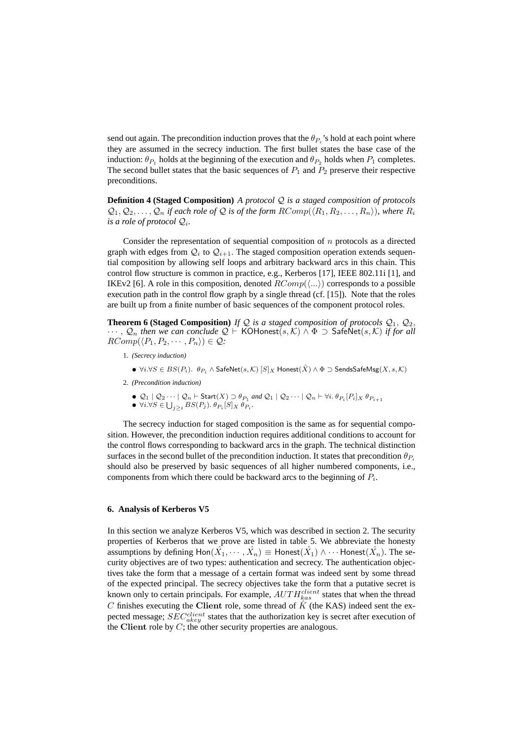send out again. The precondition induction proves that the  $\theta_{P_i}$ 's hold at each point where they are assumed in the secrecy induction. The first bullet states the base case of the induction:  $\theta_{P_1}$  holds at the beginning of the execution and  $\theta_{P_2}$  holds when  $P_1$  completes. The second bullet states that the basic sequences of  $P_1$  and  $P_2$  preserve their respective preconditions.

**Definition 4 (Staged Composition)** *A protocol* Q *is a staged composition of protocols*  $\mathcal{Q}_1, \mathcal{Q}_2, \ldots, \mathcal{Q}_n$  if each role of  $\mathcal Q$  is of the form  $RComp(\langle R_1, R_2, \ldots, R_n \rangle)$ , where  $R_i$ *is a role of protocol* Q<sup>i</sup> *.*

Consider the representation of sequential composition of  $n$  protocols as a directed graph with edges from  $Q_i$  to  $Q_{i+1}$ . The staged composition operation extends sequential composition by allowing self loops and arbitrary backward arcs in this chain. This control flow structure is common in practice, e.g., Kerberos [17], IEEE 802.11i [1], and IKEv2 [6]. A role in this composition, denoted  $RComp(\langle \ldots \rangle)$  corresponds to a possible execution path in the control flow graph by a single thread (cf. [15]). Note that the roles are built up from a finite number of basic sequences of the component protocol roles.

**Theorem 6 (Staged Composition)** *If*  $\mathcal{Q}$  *is a staged composition of protocols*  $\mathcal{Q}_1$ ,  $\mathcal{Q}_2$ ,  $\cdots$ ,  $\mathcal{Q}_n$  *then we can conclude*  $\mathcal{Q} \vdash \mathsf{KOHonest}(s, \mathcal{K}) \land \Phi \supset \mathsf{SafeNet}(s, \mathcal{K})$  *if for all*  $RComp(\langle P_1, P_2, \cdots, P_n \rangle) \in \mathcal{Q}$ :

- 1. *(Secrecy induction)*
	- $\bullet\;\forall i. \forall S\in BS(P_i).$   $\theta_{P_i} \wedge$  SafeNet $(s,\mathcal{K})$   $[S]_X$  Honest $(\hat{X})\wedge \Phi \supset$  SendsSafeMsg $(X,s,\mathcal{K})$
- 2. *(Precondition induction)*
	- $\mathcal{Q}_1 \mid \mathcal{Q}_2 \cdots \mid \mathcal{Q}_n$  ⊢ Start(*X*) ⊃ θ<sub>P1</sub> and  $\mathcal{Q}_1 \mid \mathcal{Q}_2 \cdots \mid \mathcal{Q}_n$  ⊢ ∀*i*. θ<sub>P<sub>i</sub></sub>[P<sub>i</sub>]*x* θ<sub>P<sub>i+1</sub></sub><br>• ∀*i*.∀*S* ∈ ∪<sub>*j*≥*i*</sub> *BS*(*P<sub>j</sub>*). θ<sub>P<sub>i</sub></sub>[S]*x* θ<sub>P<sub>i</sub></sub>.
	-

The secrecy induction for staged composition is the same as for sequential composition. However, the precondition induction requires additional conditions to account for the control flows corresponding to backward arcs in the graph. The technical distinction surfaces in the second bullet of the precondition induction. It states that precondition  $\theta_{P_i}$ should also be preserved by basic sequences of all higher numbered components, i.e., components from which there could be backward arcs to the beginning of  $P_i$ .

#### **6. Analysis of Kerberos V5**

In this section we analyze Kerberos V5, which was described in section 2. The security properties of Kerberos that we prove are listed in table 5. We abbreviate the honesty assumptions by defining  $\textsf{Hom}(\hat{X_1}, \cdots, \hat{X_n}) \equiv \textsf{Honest}(\hat{X_1}) \wedge \cdots \textsf{Honest}(\hat{X_n})$ . The security objectives are of two types: authentication and secrecy. The authentication objectives take the form that a message of a certain format was indeed sent by some thread of the expected principal. The secrecy objectives take the form that a putative secret is known only to certain principals. For example,  $AUTH_{kas}^{client}$  states that when the thread C finishes executing the Client role, some thread of  $\hat{K}$  (the KAS) indeed sent the expected message;  $SEC^{client}_{akey}$  states that the authorization key is secret after execution of the Client role by  $C$ ; the other security properties are analogous.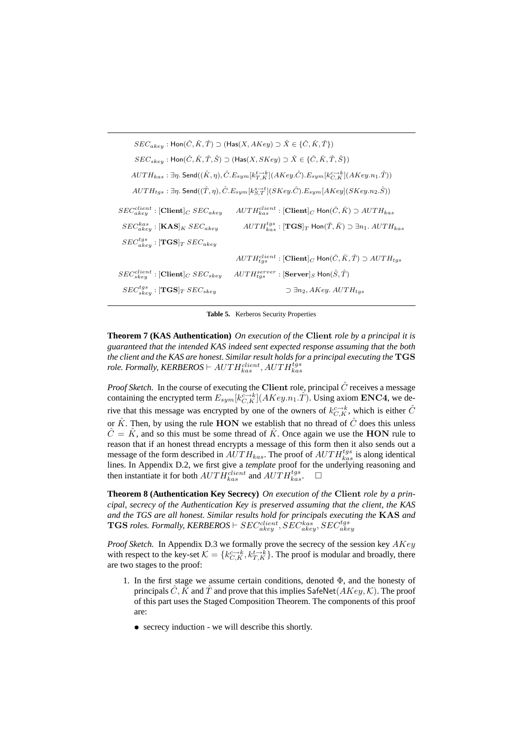

**Table 5.** Kerberos Security Properties

**Theorem 7 (KAS Authentication)** *On execution of the* Client *role by a principal it is guaranteed that the intended KAS indeed sent expected response assuming that the both the client and the KAS are honest. Similar result holds for a principal executing the* TGS *role. Formally, KERBEROS*  $\vdash$   $AUTH_{kas}^{client}, AUTH_{kas}^{fgs}$ 

*Proof Sketch.* In the course of executing the Client role, principal  $\hat{C}$  receives a message containing the encrypted term  $E_{sym}[k_{C,K}^{c\rightarrow k}](AKey.n_1.\hat{T})$ . Using axiom ENC4, we derive that this message was encrypted by one of the owners of  $k_{C,K}^{c\to k}$ , which is either  $\hat{C}$ or  $\hat{K}$ . Then, by using the rule HON we establish that no thread of  $\hat{C}$  does this unless  $\hat{C} = \hat{K}$ , and so this must be some thread of  $\hat{K}$ . Once again we use the HON rule to reason that if an honest thread encrypts a message of this form then it also sends out a message of the form described in  $\ddot{AUTH}_{kas}$ . The proof of  $\ddot{AUTH}_{kas}^{tgs}$  is along identical lines. In Appendix D.2, we first give a *template* proof for the underlying reasoning and then instantiate it for both  $AUTH_{kas}^{client}$  and  $AUTH_{kas}^{tgs}$ .  $\square$ 

**Theorem 8 (Authentication Key Secrecy)** *On execution of the* Client *role by a principal, secrecy of the Authentication Key is preserved assuming that the client, the KAS and the TGS are all honest. Similar results hold for principals executing the* KAS *and*  ${\bf TGS}$  roles. Formally, KERBEROS  $\vdash$  SEC<sup>client</sup>, SEC<sup>kas</sup>, SEC<sup>tgs</sup>

*Proof Sketch.* In Appendix D.3 we formally prove the secrecy of the session key AKey with respect to the key-set  $\mathcal{K} = \{k_{C,K}^{c \to k}, k_{T,K}^{t \to k}\}\.$  The proof is modular and broadly, there are two stages to the proof:

- 1. In the first stage we assume certain conditions, denoted  $\Phi$ , and the honesty of principals  $\hat{C}$ ,  $\hat{K}$  and  $\hat{T}$  and prove that this implies SafeNet( $AKey$ ,  $\mathcal{K}$ ). The proof of this part uses the Staged Composition Theorem. The components of this proof are:
	- secrecy induction we will describe this shortly.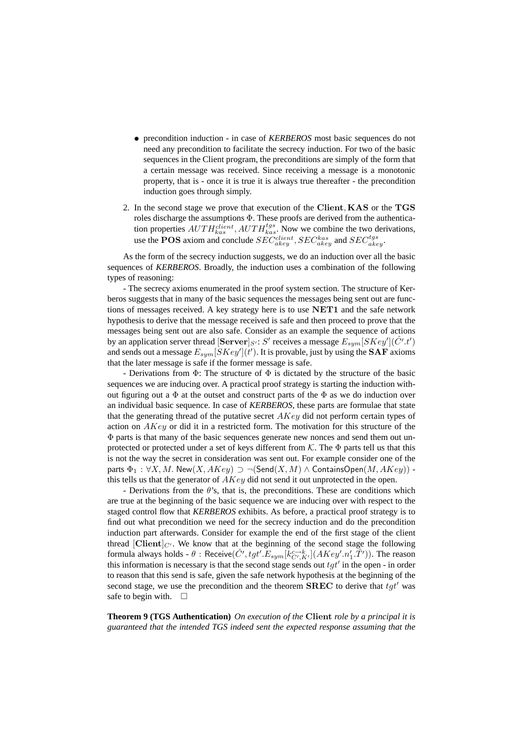- precondition induction in case of *KERBEROS* most basic sequences do not need any precondition to facilitate the secrecy induction. For two of the basic sequences in the Client program, the preconditions are simply of the form that a certain message was received. Since receiving a message is a monotonic property, that is - once it is true it is always true thereafter - the precondition induction goes through simply.
- 2. In the second stage we prove that execution of the Client, KAS or the TGS roles discharge the assumptions Φ. These proofs are derived from the authentication properties  $AUTH_{kas}^{client}$ ,  $AUTH_{kas}^{tgs}$ . Now we combine the two derivations, use the POS axiom and conclude  $\widetilde{SEC}_{akey}^{client}$ ,  $\widetilde{SEC}_{akey}^{kas}$  and  $\widetilde{SEC}_{akey}^{tgs}$ .

As the form of the secrecy induction suggests, we do an induction over all the basic sequences of *KERBEROS*. Broadly, the induction uses a combination of the following types of reasoning:

- The secrecy axioms enumerated in the proof system section. The structure of Kerberos suggests that in many of the basic sequences the messages being sent out are functions of messages received. A key strategy here is to use NET1 and the safe network hypothesis to derive that the message received is safe and then proceed to prove that the messages being sent out are also safe. Consider as an example the sequence of actions by an application server thread  $[\textbf{Server}]_{S'}$ : S' receives a message  $E_{sym}[SKey'](\hat{C}'.t')$ and sends out a message  $E_{sym}[SKey'](t')$ . It is provable, just by using the **SAF** axioms that the later message is safe if the former message is safe.

- Derivations from  $\Phi$ : The structure of  $\Phi$  is dictated by the structure of the basic sequences we are inducing over. A practical proof strategy is starting the induction without figuring out a Φ at the outset and construct parts of the Φ as we do induction over an individual basic sequence. In case of *KERBEROS*, these parts are formulae that state that the generating thread of the putative secret  $AKey$  did not perform certain types of action on AKey or did it in a restricted form. The motivation for this structure of the Φ parts is that many of the basic sequences generate new nonces and send them out unprotected or protected under a set of keys different from  $K$ . The  $\Phi$  parts tell us that this is not the way the secret in consideration was sent out. For example consider one of the parts  $\Phi_1 : \forall X, M$ . New $(X, AKey) \supset \neg(\mathsf{Send}(X, M) \wedge \mathsf{containsOpen}(M, AKey))$ . this tells us that the generator of  $AKey$  did not send it out unprotected in the open.

- Derivations from the  $\theta$ 's, that is, the preconditions. These are conditions which are true at the beginning of the basic sequence we are inducing over with respect to the staged control flow that *KERBEROS* exhibits. As before, a practical proof strategy is to find out what precondition we need for the secrecy induction and do the precondition induction part afterwards. Consider for example the end of the first stage of the client thread  $\left[\text{Client}\right]_{C}$ . We know that at the beginning of the second stage the following formula always holds -  $\theta$ : Receive $(\hat{C}', tgt'.E_{sym}[k_{C',K'}^{c\to k'}](AKey'.n'_1.\hat{T}'))$ . The reason this information is necessary is that the second stage sends out  $tgt'$  in the open - in order to reason that this send is safe, given the safe network hypothesis at the beginning of the second stage, we use the precondition and the theorem **SREC** to derive that  $tgt'$  was safe to begin with.  $\square$ 

**Theorem 9 (TGS Authentication)** *On execution of the* Client *role by a principal it is guaranteed that the intended TGS indeed sent the expected response assuming that the*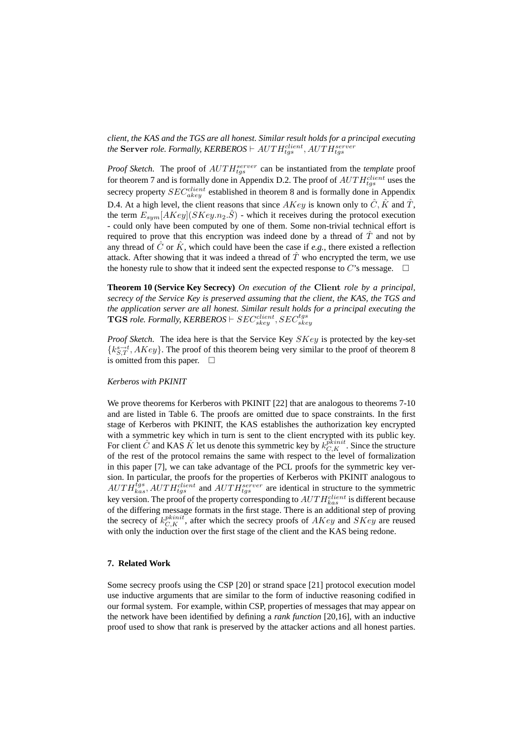*client, the KAS and the TGS are all honest. Similar result holds for a principal executing the* Server *role. Formally, KERBEROS*  $\vdash$   $AUTH^{client}_{tgs}$ ,  $AUTH^{server}_{tgs}$ 

*Proof Sketch.* The proof of  $AUTH_{tgs}^{server}$  can be instantiated from the *template* proof for theorem 7 and is formally done in Appendix D.2. The proof of  $AUTH_{tgs}^{client}$  uses the secrecy property  $SEC^{client}_{akey}$  established in theorem 8 and is formally done in Appendix D.4. At a high level, the client reasons that since  $AKey$  is known only to  $\hat{C}, \hat{K}$  and  $\hat{T}$ , the term  $E_{sym}[AKey](SKey.n_2.\hat{S})$  - which it receives during the protocol execution - could only have been computed by one of them. Some non-trivial technical effort is required to prove that this encryption was indeed done by a thread of  $\hat{T}$  and not by any thread of  $\overline{C}$  or  $\overline{K}$ , which could have been the case if  $e.g.,$  there existed a reflection attack. After showing that it was indeed a thread of  $\hat{T}$  who encrypted the term, we use the honesty rule to show that it indeed sent the expected response to  $C$ 's message.  $\square$ 

**Theorem 10 (Service Key Secrecy)** *On execution of the* Client *role by a principal, secrecy of the Service Key is preserved assuming that the client, the KAS, the TGS and the application server are all honest. Similar result holds for a principal executing the*  $TGS$  *role. Formally, KERBEROS*  $\vdash$   $SEC_{skey}^{client}$ ,  $SEC_{skey}^{tgs}$ 

*Proof Sketch.* The idea here is that the Service Key SKey is protected by the key-set  ${k_{S,T}^{s\to t}}$ ,  $AKey$ . The proof of this theorem being very similar to the proof of theorem 8 is omitted from this paper.  $\square$ 

#### *Kerberos with PKINIT*

We prove theorems for Kerberos with PKINIT [22] that are analogous to theorems 7-10 and are listed in Table 6. The proofs are omitted due to space constraints. In the first stage of Kerberos with PKINIT, the KAS establishes the authorization key encrypted with a symmetric key which in turn is sent to the client encrypted with its public key. For client  $\hat{C}$  and KAS  $\hat{K}$  let us denote this symmetric key by  $k_{C,K}^{pkinit}$ . Since the structure of the rest of the protocol remains the same with respect to the level of formalization in this paper [7], we can take advantage of the PCL proofs for the symmetric key version. In particular, the proofs for the properties of Kerberos with PKINIT analogous to  $AUTH_{kas}^{fgs}, AUTH_{tgs}^{client}$  and  $AUTH_{tgs}^{server}$  are identical in structure to the symmetric key version. The proof of the property corresponding to  $AUTH_{kas}^{client}$  is different because of the differing message formats in the first stage. There is an additional step of proving the secrecy of  $k_{C,K}^{phinit}$ , after which the secrecy proofs of  $AKey$  and  $SKey$  are reused with only the induction over the first stage of the client and the KAS being redone.

#### **7. Related Work**

Some secrecy proofs using the CSP [20] or strand space [21] protocol execution model use inductive arguments that are similar to the form of inductive reasoning codified in our formal system. For example, within CSP, properties of messages that may appear on the network have been identified by defining a *rank function* [20,16], with an inductive proof used to show that rank is preserved by the attacker actions and all honest parties.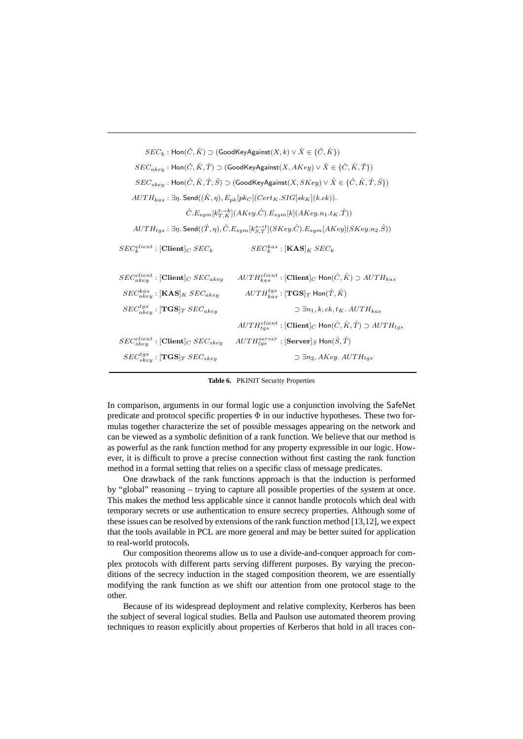```
SEC_k : Hon(\hat{C}, \hat{K}) \supseteq (GoodKeyAgainst(X, k) \vee \hat{X} \in \{\hat{C}, \hat{K}\})SEC_{akeu} : \text{Hom}(\hat{C}, \hat{K}, \hat{T}) \supset (\text{GoodKeyAgainst}(X, AKey) \vee \hat{X} \in \{\hat{C}, \hat{K}, \hat{T}\})SEC_{skey} : \text{Hom}(\hat{C}, \hat{K}, \hat{T}, \hat{S}) \supset (\text{GoodKeyAgainst}(X, SKey) \vee \hat{X} \in \{\hat{C}, \hat{K}, \hat{T}, \hat{S}\})AUTH_{kas}: \exists \eta. Send((\hat{K}, \eta), E_{nk}[pk_C](Cert_K.SIG[sk_K](k.ck)).\hat{C}.E_{sym}[k_{T,K}^{t\to k}](AKey.\hat{C}).E_{sym}[k](AKey.n_1.t_K.\hat{T}))AUTH_{tgs}: \exists \eta. Send((\hat{T},\eta),\hat{C}.E_{sym}[k^{s\to t}_{S,T}](SKey.\hat{C}).E_{sym}[AKey](SKey.n_2.\hat{S}))SEC^{client}_k : [\textbf{Client}]_C \, SEC_k \hspace{2.05in} SEC_k^{kas}]\mathbf{K}_k^{kas}:[\mathbf{KAS}]_K SEC_kSEC^{client}_{akey} : [\mathbf{Client}]_{C}\,SEC_{akey}\qquad AUTH^{client}_{kas} : [\mathbf{Client}]_{C}\,Hon(\hat{C},\hat{K})\supset AUTH_{kas}SEC^{kas}_{akey} : [\mathbf{KAS}]_K \, SEC_{akey} \qquad \quad AUTH^{tgs}_{kas} : [\mathbf{TGS}]_T \, \mathsf{Hon}(\hat{T},\hat{K})SEC_{\text{shear}}^{tgs} : [\textbf{TGS}]_T SEC_{\text{akeur}}\supset \exists n_1, k, ck, t_K. AUTH_{kas}AUTH^{client}_{tgs}: [{\bf Client}]_{C} Hon(\hat{C}, \hat{K}, \hat{T}) \supset {AUTH_{tgs}}SEC^{client}_{skey}: {\bf [Client]}_{C} \: SEC_{skey} \hspace{6mm} AUTH^{server}_{tgs}AUTH_{tas}^{server}: [\bf Server]_S Hon(\hat{S}, \hat{T})SEC_{skey}^{tgs}: [\mathbf{TGS}]_T \: SEC_{skey} \longrightarrow \exists n_2, \textit{AKey.} \: AUTH_{tgs}
```
**Table 6.** PKINIT Security Properties

In comparison, arguments in our formal logic use a conjunction involving the SafeNet predicate and protocol specific properties  $\Phi$  in our inductive hypotheses. These two formulas together characterize the set of possible messages appearing on the network and can be viewed as a symbolic definition of a rank function. We believe that our method is as powerful as the rank function method for any property expressible in our logic. However, it is difficult to prove a precise connection without first casting the rank function method in a formal setting that relies on a specific class of message predicates.

One drawback of the rank functions approach is that the induction is performed by "global" reasoning – trying to capture all possible properties of the system at once. This makes the method less applicable since it cannot handle protocols which deal with temporary secrets or use authentication to ensure secrecy properties. Although some of these issues can be resolved by extensions of the rank function method [13,12], we expect that the tools available in PCL are more general and may be better suited for application to real-world protocols.

Our composition theorems allow us to use a divide-and-conquer approach for complex protocols with different parts serving different purposes. By varying the preconditions of the secrecy induction in the staged composition theorem, we are essentially modifying the rank function as we shift our attention from one protocol stage to the other.

Because of its widespread deployment and relative complexity, Kerberos has been the subject of several logical studies. Bella and Paulson use automated theorem proving techniques to reason explicitly about properties of Kerberos that hold in all traces con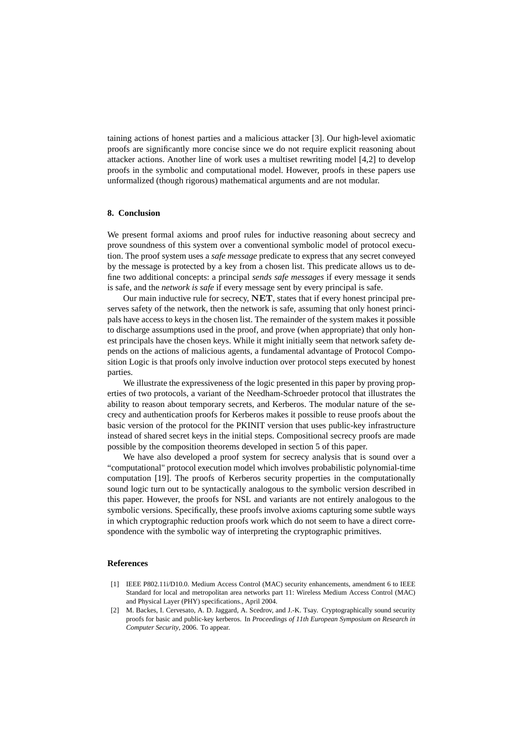taining actions of honest parties and a malicious attacker [3]. Our high-level axiomatic proofs are significantly more concise since we do not require explicit reasoning about attacker actions. Another line of work uses a multiset rewriting model [4,2] to develop proofs in the symbolic and computational model. However, proofs in these papers use unformalized (though rigorous) mathematical arguments and are not modular.

#### **8. Conclusion**

We present formal axioms and proof rules for inductive reasoning about secrecy and prove soundness of this system over a conventional symbolic model of protocol execution. The proof system uses a *safe message* predicate to express that any secret conveyed by the message is protected by a key from a chosen list. This predicate allows us to define two additional concepts: a principal *sends safe messages* if every message it sends is safe, and the *network is safe* if every message sent by every principal is safe.

Our main inductive rule for secrecy, NET, states that if every honest principal preserves safety of the network, then the network is safe, assuming that only honest principals have access to keys in the chosen list. The remainder of the system makes it possible to discharge assumptions used in the proof, and prove (when appropriate) that only honest principals have the chosen keys. While it might initially seem that network safety depends on the actions of malicious agents, a fundamental advantage of Protocol Composition Logic is that proofs only involve induction over protocol steps executed by honest parties.

We illustrate the expressiveness of the logic presented in this paper by proving properties of two protocols, a variant of the Needham-Schroeder protocol that illustrates the ability to reason about temporary secrets, and Kerberos. The modular nature of the secrecy and authentication proofs for Kerberos makes it possible to reuse proofs about the basic version of the protocol for the PKINIT version that uses public-key infrastructure instead of shared secret keys in the initial steps. Compositional secrecy proofs are made possible by the composition theorems developed in section 5 of this paper.

We have also developed a proof system for secrecy analysis that is sound over a "computational" protocol execution model which involves probabilistic polynomial-time computation [19]. The proofs of Kerberos security properties in the computationally sound logic turn out to be syntactically analogous to the symbolic version described in this paper. However, the proofs for NSL and variants are not entirely analogous to the symbolic versions. Specifically, these proofs involve axioms capturing some subtle ways in which cryptographic reduction proofs work which do not seem to have a direct correspondence with the symbolic way of interpreting the cryptographic primitives.

#### **References**

- [1] IEEE P802.11i/D10.0. Medium Access Control (MAC) security enhancements, amendment 6 to IEEE Standard for local and metropolitan area networks part 11: Wireless Medium Access Control (MAC) and Physical Layer (PHY) specifications., April 2004.
- [2] M. Backes, I. Cervesato, A. D. Jaggard, A. Scedrov, and J.-K. Tsay. Cryptographically sound security proofs for basic and public-key kerberos. In *Proceedings of 11th European Symposium on Research in Computer Security*, 2006. To appear.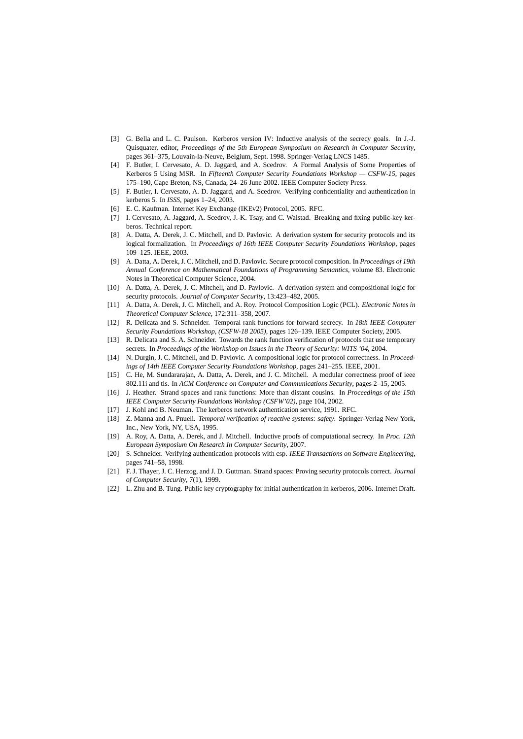- [3] G. Bella and L. C. Paulson. Kerberos version IV: Inductive analysis of the secrecy goals. In J.-J. Quisquater, editor, *Proceedings of the 5th European Symposium on Research in Computer Security*, pages 361–375, Louvain-la-Neuve, Belgium, Sept. 1998. Springer-Verlag LNCS 1485.
- [4] F. Butler, I. Cervesato, A. D. Jaggard, and A. Scedrov. A Formal Analysis of Some Properties of Kerberos 5 Using MSR. In *Fifteenth Computer Security Foundations Workshop — CSFW-15*, pages 175–190, Cape Breton, NS, Canada, 24–26 June 2002. IEEE Computer Society Press.
- [5] F. Butler, I. Cervesato, A. D. Jaggard, and A. Scedrov. Verifying confidentiality and authentication in kerberos 5. In *ISSS*, pages 1–24, 2003.
- [6] E. C. Kaufman. Internet Key Exchange (IKEv2) Protocol, 2005. RFC.
- [7] I. Cervesato, A. Jaggard, A. Scedrov, J.-K. Tsay, and C. Walstad. Breaking and fixing public-key kerberos. Technical report.
- [8] A. Datta, A. Derek, J. C. Mitchell, and D. Pavlovic. A derivation system for security protocols and its logical formalization. In *Proceedings of 16th IEEE Computer Security Foundations Workshop*, pages 109–125. IEEE, 2003.
- [9] A. Datta, A. Derek, J. C. Mitchell, and D. Pavlovic. Secure protocol composition. In *Proceedings of 19th Annual Conference on Mathematical Foundations of Programming Semantics*, volume 83. Electronic Notes in Theoretical Computer Science, 2004.
- [10] A. Datta, A. Derek, J. C. Mitchell, and D. Pavlovic. A derivation system and compositional logic for security protocols. *Journal of Computer Security*, 13:423–482, 2005.
- [11] A. Datta, A. Derek, J. C. Mitchell, and A. Roy. Protocol Composition Logic (PCL). *Electronic Notes in Theoretical Computer Science*, 172:311–358, 2007.
- [12] R. Delicata and S. Schneider. Temporal rank functions for forward secrecy. In *18th IEEE Computer Security Foundations Workshop, (CSFW-18 2005)*, pages 126–139. IEEE Computer Society, 2005.
- [13] R. Delicata and S. A. Schneider. Towards the rank function verification of protocols that use temporary secrets. In *Proceedings of the Workshop on Issues in the Theory of Security: WITS '04*, 2004.
- [14] N. Durgin, J. C. Mitchell, and D. Pavlovic. A compositional logic for protocol correctness. In *Proceedings of 14th IEEE Computer Security Foundations Workshop*, pages 241–255. IEEE, 2001.
- [15] C. He, M. Sundararajan, A. Datta, A. Derek, and J. C. Mitchell. A modular correctness proof of ieee 802.11i and tls. In *ACM Conference on Computer and Communications Security*, pages 2–15, 2005.
- [16] J. Heather. Strand spaces and rank functions: More than distant cousins. In *Proceedings of the 15th IEEE Computer Security Foundations Workshop (CSFW'02)*, page 104, 2002.
- [17] J. Kohl and B. Neuman. The kerberos network authentication service, 1991. RFC.
- [18] Z. Manna and A. Pnueli. *Temporal verification of reactive systems: safety*. Springer-Verlag New York, Inc., New York, NY, USA, 1995.
- [19] A. Roy, A. Datta, A. Derek, and J. Mitchell. Inductive proofs of computational secrecy. In *Proc. 12th European Symposium On Research In Computer Security*, 2007.
- [20] S. Schneider. Verifying authentication protocols with csp. *IEEE Transactions on Software Engineering*, pages 741–58, 1998.
- [21] F. J. Thayer, J. C. Herzog, and J. D. Guttman. Strand spaces: Proving security protocols correct. *Journal of Computer Security*, 7(1), 1999.
- [22] L. Zhu and B. Tung. Public key cryptography for initial authentication in kerberos, 2006. Internet Draft.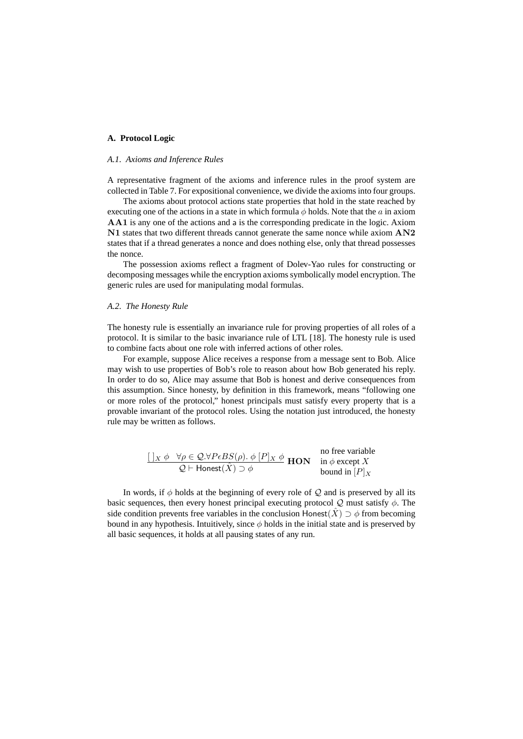# **A. Protocol Logic**

#### *A.1. Axioms and Inference Rules*

A representative fragment of the axioms and inference rules in the proof system are collected in Table 7. For expositional convenience, we divide the axioms into four groups.

The axioms about protocol actions state properties that hold in the state reached by executing one of the actions in a state in which formula  $\phi$  holds. Note that the a in axiom AA1 is any one of the actions and a is the corresponding predicate in the logic. Axiom N1 states that two different threads cannot generate the same nonce while axiom AN2 states that if a thread generates a nonce and does nothing else, only that thread possesses the nonce.

The possession axioms reflect a fragment of Dolev-Yao rules for constructing or decomposing messages while the encryption axioms symbolically model encryption. The generic rules are used for manipulating modal formulas.

#### *A.2. The Honesty Rule*

The honesty rule is essentially an invariance rule for proving properties of all roles of a protocol. It is similar to the basic invariance rule of LTL [18]. The honesty rule is used to combine facts about one role with inferred actions of other roles.

For example, suppose Alice receives a response from a message sent to Bob. Alice may wish to use properties of Bob's role to reason about how Bob generated his reply. In order to do so, Alice may assume that Bob is honest and derive consequences from this assumption. Since honesty, by definition in this framework, means "following one or more roles of the protocol," honest principals must satisfy every property that is a provable invariant of the protocol roles. Using the notation just introduced, the honesty rule may be written as follows.

$$
\begin{array}{cc}\n\left[\begin{array}{ccc}\n\vdots & \phi & \forall \rho \in \mathcal{Q}.\forall P \in BS(\rho). \phi [P]_X \phi \\
\hline\n\mathcal{Q} \vdash \mathsf{Honest}(\hat{X}) \supset \phi\n\end{array}\right] &\text{no free variable} \\
\text{no free variable} \\
\text{on the variable} \\
\text{on the variable} \\
\text{on the variable} \\
\text{on the variable } P \text{ is the number of variables.}\n\end{array}
$$

In words, if  $\phi$  holds at the beginning of every role of  $\mathcal Q$  and is preserved by all its basic sequences, then every honest principal executing protocol  $Q$  must satisfy  $\phi$ . The side condition prevents free variables in the conclusion Honest( $\hat{X}$ )  $\supset \phi$  from becoming bound in any hypothesis. Intuitively, since  $\phi$  holds in the initial state and is preserved by all basic sequences, it holds at all pausing states of any run.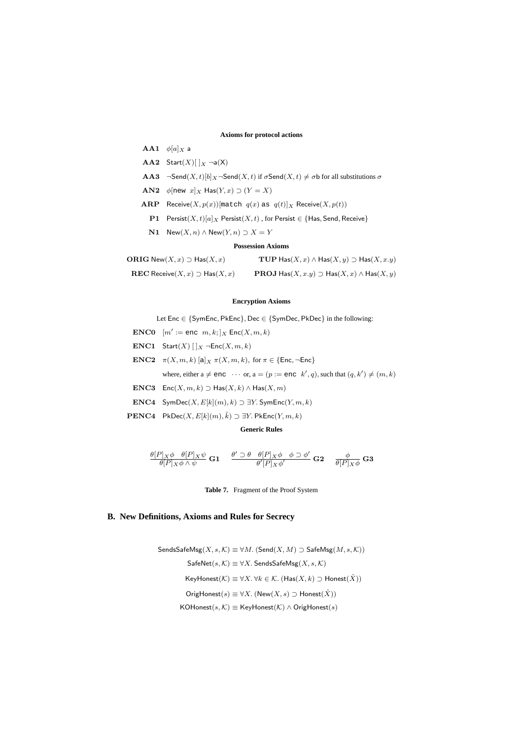#### **Axioms for protocol actions**

- $A$ A1  $\phi[a]_X$  a
- AA2 Start $(X)$ [ ] $_X \neg a(X)$
- **AA3**  $\neg$ Send $(X, t)[b]_X\neg$ Send $(X, t)$  if  $\sigma$ Send $(X, t) \neq \sigma$ b for all substitutions  $\sigma$
- AN2  $\phi$ [new  $x]_X$  Has( $Y, x$ )  $\supset (Y = X)$
- **ARP** Receive $(X, p(x))$ [match  $q(x)$  as  $q(t)$ ] $_X$  Receive $(X, p(t))$ 
	- P1 Persist $(X, t)[a]_X$  Persist $(X, t)$ , for Persist  $\in \{\text{Has}, \text{Send}, \text{Receive}\}$
	- N1 New $(X, n) \wedge$  New $(Y, n) \supset X = Y$

# **Possession Axioms**

| ORIG New $(X,x) \supset \text{Has}(X,x)$               | <b>TUP</b> Has( <i>X</i> , <i>x</i> ) $\land$ Has( <i>X</i> , <i>y</i> ) $\supset$ Has( <i>X</i> , <i>x</i> . <i>y</i> ) |
|--------------------------------------------------------|--------------------------------------------------------------------------------------------------------------------------|
| <b>REC</b> Receive $(X, x) \supseteq \text{Has}(X, x)$ | <b>PROJ</b> Has $(X, x, y) \supset$ Has $(X, x) \wedge$ Has $(X, y)$                                                     |

#### **Encryption Axioms**

Let Enc ∈ {SymEnc, PkEnc}, Dec ∈ {SymDec, PkDec} in the following:

- **ENC0**  $[m' := \text{enc } m, k; ]_X \mathsf{Enc}(X, m, k)$
- ENC1 Start $(X)$   $\left[\right]_X \neg \text{Enc}(X, m, k)$
- ENC2  $\pi(X, m, k)$  [a]  $_X \pi(X, m, k)$ , for  $\pi \in \{\text{Enc}, \neg \text{Enc}\}$

where, either  $a \neq enc \cdots or$ ,  $a = (p := enc \; k', q)$ , such that  $(q, k') \neq (m, k)$ 

- ENC3  $Enc(X, m, k)$  ⊃ Has $(X, k)$  ∧ Has $(X, m)$
- ENC4 SymDec $(X, E[k](m), k) \supset \exists Y$ . SymEnc $(Y, m, k)$
- **PENC4** PkDec $(X, E[k](m), \overline{k}) \supset \exists Y$ . PkEnc $(Y, m, k)$

**Generic Rules**

$$
\tfrac{\theta[P]_X\phi\quad \theta[P]_X\psi}{\theta[P]_X\phi\wedge\psi}\,\mathbf{G1}\quad \, \tfrac{\theta'\supset \theta\quad \theta[P]_X\phi\quad \phi\supset \phi'}{\theta'[P]_X\phi'}\,\mathbf{G2}\quad \, \tfrac{\phi}{\theta[P]_X\phi}\,\mathbf{G3}
$$

**Table 7.** Fragment of the Proof System

# **B. New Definitions, Axioms and Rules for Secrecy**

$$
\begin{aligned} \mathsf{SendsSafeMsg}(X,s,\mathcal{K}) &\equiv \forall M. \ (\mathsf{Send}(X,M) \supset \mathsf{SafeMsg}(M,s,\mathcal{K})) \\ &\quad \mathsf{SafeNet}(s,\mathcal{K}) \equiv \forall X. \ \mathsf{SendsSafeMsg}(X,s,\mathcal{K}) \\ &\quad \mathsf{KeyHonest}(\mathcal{K}) \equiv \forall X. \ \forall k \in \mathcal{K}. \ (\mathsf{Has}(X,k) \supset \mathsf{Honest}(\hat{X})) \\ &\quad \mathsf{OrigHonest}(s) \equiv \forall X. \ (\mathsf{New}(X,s) \supset \mathsf{Honest}(\hat{X})) \\ &\quad \mathsf{KOHonest}(s,\mathcal{K}) \equiv \mathsf{KeyHonest}(\mathcal{K}) \ \wedge \mathsf{OrigHonest}(s) \end{aligned}
$$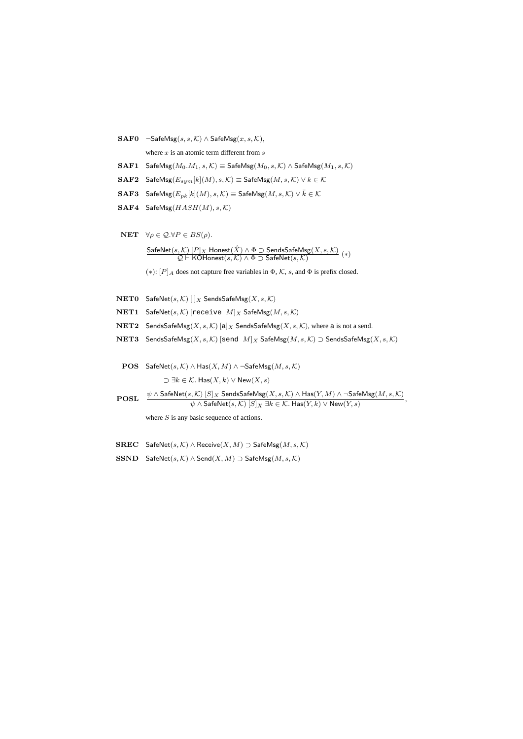| <b>SAF0</b> $\neg$ SafeMsg $(s, s, \mathcal{K}) \wedge$ SafeMsg $(x, s, \mathcal{K})$ , |  |
|-----------------------------------------------------------------------------------------|--|
| where $x$ is an atomic term different from $s$                                          |  |

- SAF1 SafeMsg $(M_0.M_1, s, \mathcal{K}) \equiv$  SafeMsg $(M_0, s, \mathcal{K}) \wedge$  SafeMsg $(M_1, s, \mathcal{K})$
- SAF2 SafeMsg $(E_{sum}[k](M), s, \mathcal{K}) \equiv$  SafeMsg $(M, s, \mathcal{K}) \vee k \in \mathcal{K}$
- SAF3 SafeMsg $(E_{pk}[k](M), s, \mathcal{K}) \equiv$  SafeMsg $(M, s, \mathcal{K}) \vee \bar{k} \in \mathcal{K}$
- SAF4 SafeMsg $(HASH(M), s, \mathcal{K})$
- **NET**  $\forall \rho \in \mathcal{Q}.\forall P \in BS(\rho).$  $\mathsf{SafeNet}(s,\mathcal{K})\left[P\right]_{X}$  Honest $(\hat{X}) \wedge \Phi \supset \mathsf{SendsSafeMsg}(X,s,\mathcal{K})$  $Q \vdash$  KOHonest $(s, K) \land \Phi \supset$  Sendssatewisg $(X, s, K)$  (\*)

(\*):  $[P]_A$  does not capture free variables in  $\Phi$ , K, s, and  $\Phi$  is prefix closed.

- **NET0** SafeNet $(s, K)$   $\vert \vert_X$  SendsSafeMsg $(X, s, K)$
- **NET1** SafeNet( $s, K$ ) [receive  $M|_X$  SafeMsg( $M, s, K$ )
- **NET2** SendsSafeMsg $(X, s, \mathcal{K})$  [a]<sub>X</sub> SendsSafeMsg $(X, s, \mathcal{K})$ , where a is not a send.
- NET3 SendsSafeMsg $(X, s, \mathcal{K})$  [send  $M_X$  SafeMsg $(M, s, \mathcal{K})$   $\supset$  SendsSafeMsg $(X, s, \mathcal{K})$
- POS SafeNet(s,  $K$ ) ∧ Has( $X$ ,  $M$ ) ∧ ¬SafeMsg( $M$ ,  $s$ ,  $K$ )

 $\ni \exists k \in \mathcal{K}$ . Has $(X, k)$  ∨ New $(X, s)$ 

 $\textbf{POSL} \quad \frac{\psi \wedge \textsf{SafeNet}(s, \mathcal{K})~[S]_X~\textsf{SendsSafeMsg}(X, s, \mathcal{K})~\wedge~\textsf{Has}(Y, M)~\wedge~\neg \textsf{SafeMsg}(M, s, \mathcal{K})}{\psi \wedge \textsf{SafeMed}(S, M) \wedge \psi \wedge \textsf{Send}(S, \neg \textsf{lex}(X, M) \wedge \neg \textsf{SafeMsg}(M, s, \mathcal{K})},$  $\psi \wedge$  SafeNet $(s, \mathcal{K})$   $[S]_X \exists k \in \mathcal{K}$ . Has $(Y, k) \vee$  New $(Y, s)$ 

where  $S$  is any basic sequence of actions.

- SREC SafeNet $(s, K) \wedge$  Receive $(X, M) \supset$  SafeMsg $(M, s, K)$
- SSND SafeNet(s,  $K$ )  $\wedge$  Send(X, M)  $\supset$  SafeMsg(M, s, K)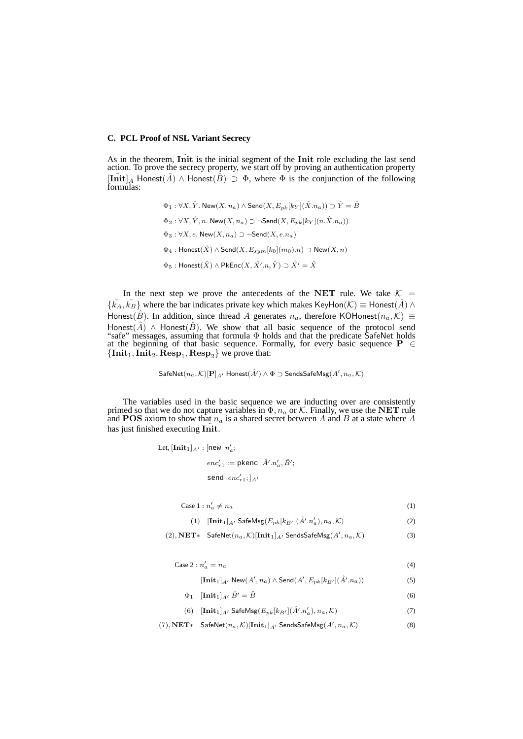## **C. PCL Proof of NSL Variant Secrecy**

As in the theorem,  $\tilde{\text{Init}}$  is the initial segment of the  $\text{Init}$  role excluding the last send action. To prove the secrecy property, we start off by proving an authentication property  $[\tilde{\mathbf{Init}}]_A$  Honest $(\hat{A}) \wedge$  Honest $(\hat{B}) \supset \Phi$ , where  $\Phi$  is the conjunction of the following formulas:

> $\Phi_1 : \forall X, \hat{Y}$ . New $(X, n_a) \wedge$  Send $(X, E_{nk}[k_Y](\hat{X}, n_a)) \supset \hat{Y} = \hat{B}$  $\Phi_2 : \forall X, \hat{Y}, n$ . New $(X, n_a) \supset \neg$ Send $(X, E_{pk}[k_Y](n.\hat{X}.n_a))$  $\Phi_3 : \forall X, e$ . New $(X, n_a) \supset \neg$ Send $(X, e, n_a)$  $\Phi_4$  : Honest $(\hat{X}) \wedge$  Send $(X, E_{sym}[k_0](m_0).n) \supset \mathsf{New}(X, n)$  $\Phi_5: {\sf{Honest}}(\hat X)\wedge {\sf PkEnc}(X, \hat{X'}.n, \hat Y)\supset \hat X'=\hat X$

In the next step we prove the antecedents of the NET rule. We take  $K =$  $\{\bar{k}_A,\bar{k}_B\}$  where the bar indicates private key which makes KeyHon(K) = Honest( $\hat{A}$ )  $\wedge$ Honest( $\hat{B}$ ). In addition, since thread A generates  $n_a$ , therefore KOHonest( $n_a, K$ )  $\equiv$ Honest( $\hat{A}$ ) ∧ Honest( $\hat{B}$ ). We show that all basic sequence of the protocol send "safe" messages, assuming that formula Φ holds and that the predicate SafeNet holds at the beginning of that basic sequence. Formally, for every basic sequence  $P \in$  $\{Init_1,Init_2, Resp_1, Resp_2\}$  we prove that:

$$
\mathsf{SafeNet}(n_a,\mathcal{K})[\mathbf{P}]_{A'}~\mathsf{Honest}(\hat{A'}) \wedge \Phi \supset \mathsf{SendsSafeMsg}(A',n_a,\mathcal{K})
$$

The variables used in the basic sequence we are inducting over are consistently primed so that we do not capture variables in  $\Phi$ ,  $n_a$  or K. Finally, we use the NET rule and **POS** axiom to show that  $n_a$  is a shared secret between A and B at a state where A has just finished executing  $\tilde{\text{Init}}$ .

Let, 
$$
[\text{Init}_1]_{A'} : [\text{new } n'_a;
$$
  
\n $enc'_{r1} := \text{pkenc } \hat{A}'.n'_a, \hat{B}';$   
\n $send \ enc'_{r1}; ]_{A'}$ 

Case  $1 : n'_c$  $a'_a \neq n_a$  (1)

- (1)  $[\text{Init}_1]_{A'}$  SafeMsg $(E_{pk}[k_{B'}](\hat{A}', n'_{a}), n_a, \mathcal{K})$  (2)
- $(2), \textbf{NET}$ ∗ SafeNet $(n_a, \mathcal{K})$ [Init<sub>1</sub>]<sub>A</sub>, SendsSafeMsg( $A', n_a, \mathcal{K}$ ) (3)

Case 2 :  $n'_c$  $a'_{a} = n_{a}$  (4)

 $[\textbf{Init}_1]_{A'}$  New $(A', n_a) \wedge \textsf{Send}(A', E_{pk}[k_{B'}](\hat{A}' \cdot n_a))$  (5)

- $\Phi_1$   $[\text{Init}_1]_{A'} \hat{B}' = \hat{B}$  (6)
- (6)  $[\text{Init}_1]_{A'}$  SafeMsg $(E_{pk}[k_{B'}](\hat{A}' \cdot n'_{a}), n_a, \mathcal{K})$  (7)

$$
(7), \textbf{NET} * \quad \textsf{SafeNet}(n_a, \mathcal{K})[\textbf{Init}_1]_{A'} \quad \textsf{SendsSafeMsg}(A', n_a, \mathcal{K}) \tag{8}
$$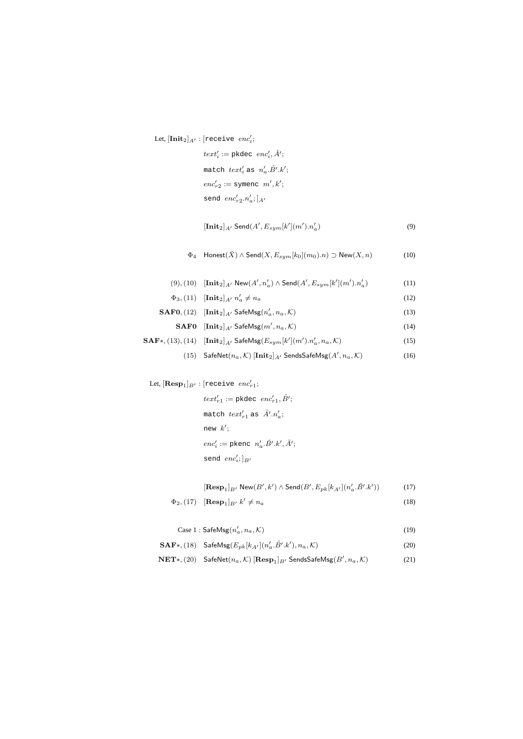| Let, $[\text{Init}_2]_{A'}$ : receive enc <sub>i</sub> ;                                                               |      |
|------------------------------------------------------------------------------------------------------------------------|------|
| $text'_i :=$ pkdec $enc'_i, \hat{A}'$ ;                                                                                |      |
| match $text'_i$ as $n'_a.\hat{B}'.k';$                                                                                 |      |
| $enc'_{r2} := \text{symenc } m', k';$                                                                                  |      |
| send $enc'_{r2}.n'_{a}; _{A'}$                                                                                         |      |
|                                                                                                                        |      |
| $[\text{Init}_2]_{A'}$ Send $(A', E_{sym}[k'](m').n'_a)$                                                               | (9)  |
|                                                                                                                        |      |
| $\Phi_4$ Honest $(\hat{X}) \wedge$ Send $(X, E_{sym}[k_0](m_0).n) \supset \mathsf{New}(X,n)$                           | (10) |
|                                                                                                                        |      |
| (9), (10) $[\text{Init}_2]_{A'}$ New $(A', n'_a) \wedge \text{Send}(A', E_{sym}[k'](m').n'_a)$                         | (11) |
| $\Phi_3$ , (11) $[\text{Init}_2]_{A'} n'_a \neq n_a$                                                                   | (12) |
| <b>SAF0</b> , (12) $[\text{Init}_2]_{A'}$ SafeMsg $(n'_a, n_a, \mathcal{K})$                                           | (13) |
| <b>SAF0</b> $[\text{Init}_2]_{A}$ , SafeMsg $(m', n_a, \mathcal{K})$                                                   | (14) |
| $\textbf{SAF*}, (13), (14) \quad \textbf{[Init}_2]_{A'}$ $\textsf{SafeMsg}(E_{sym}[k'] (m') . n_a', n_a, \mathcal{K})$ | (15) |
| (15) SafeNet $(n_a, \mathcal{K})$ [Init <sub>2</sub> ] $_{A'}$ SendsSafeMsg( $A', n_a, \mathcal{K}$ )                  | (16) |
|                                                                                                                        |      |

Let,  $[\mathbf{Resp}_1]_{B'}$  : [receive  $\mathit{enc}'_{r1};$ 

 $text{text}_{r1} := \text{pkdec} \text{enc}_{r1}', \hat{B}'.$ match  $text_{r1}$  as  $\hat{A}^{\prime}.n_{a}^{\prime};$ new  $k'$ ;  $enc'_i := \text{pkenc} \ n'_a.\hat{B}'.k', \hat{A}';$ send  $enc'_i; \, ]_{B'}$ 

 $[\mathbf{Resp}_1]_{B'}$   $\mathsf{New}(B',k') \wedge \mathsf{Send}(B',E_{pk}[k_{A'}](n_a'.\hat{B}'.k')$ )) (17)

|  | $\Phi_2$ , (17) [ <b>Resp</b> <sub>1</sub> ] <sub><i>B'</i></sub> $k' \neq n_a$ | (18) |
|--|---------------------------------------------------------------------------------|------|
|--|---------------------------------------------------------------------------------|------|

| Case 1 : $\mathsf{SafeMsg}(n'_a, n_a, \mathcal{K})$                                           | (19) |
|-----------------------------------------------------------------------------------------------|------|
| $\textbf{SAF*}, (18)$ Safe $\mathsf{Msg}(E_{pk}[k_{A'}](n_a'.\hat{B}'.k'), n_a, \mathcal{K})$ | (20) |

|  | NET*, (20) SafeNet $(n_a, K)$ [ $\text{Resp}_1]_{B'}$ SendsSafeMsg $(B', n_a, K)$ ] |  | (21) |
|--|-------------------------------------------------------------------------------------|--|------|
|--|-------------------------------------------------------------------------------------|--|------|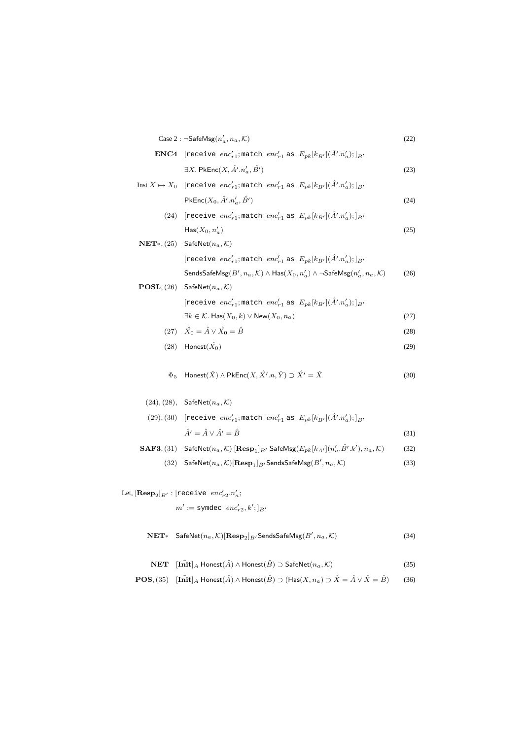|                       | Case 2 : $\neg$ SafeMsg $(n'_a, n_a, \mathcal{K})$                                                                                                     | (22) |
|-----------------------|--------------------------------------------------------------------------------------------------------------------------------------------------------|------|
|                       | <b>ENC4</b> [receive $enc'_{r1}$ ; match $enc'_{r1}$ as $E_{pk}[k_{B'}](\hat{A}', n'_{a});]_{B'}$                                                      |      |
|                       | $\exists X.$ PkEnc $(X, \hat{A}'.n'_a, \hat{B}')$                                                                                                      | (23) |
| Inst $X \mapsto X_0$  | [receive $enc'_{r1}$ ; match $enc'_{r1}$ as $E_{pk}[k_{B'}](\hat{A}'.n'_{a});$ ] $_{B'}$                                                               |      |
|                       | PkEnc $(X_0, \hat{A}', n'_a, \hat{B}')$                                                                                                                | (24) |
| (24)                  | [receive $enc'_{r1}$ ; match $enc'_{r1}$ as $E_{pk}[k_{B'}](\hat{A}'.n'_{a});$ ] $_{B'}$                                                               |      |
|                       | $\mathsf{Has}(X_0,n'_a)$                                                                                                                               | (25) |
| $\mathbf{NET*,}(25)$  | $\mathsf{SafeNet}(n_a, \mathcal{K})$                                                                                                                   |      |
|                       | [receive $enc'_{r1}$ ; match $enc'_{r1}$ as $E_{pk}[k_{B'}](\hat{A}', n'_{a});$ ] $_{B'}$                                                              |      |
|                       | $\mathsf{SendsSafeMsg}(B', n_a, \mathcal{K}) \wedge \mathsf{Has}(X_0, n_a') \wedge \neg \mathsf{SafeMsg}(n_a', n_a, \mathcal{K})$                      | (26) |
| $\textbf{POSL}, (26)$ | $\mathsf{SafeNet}(n_a, \mathcal{K})$                                                                                                                   |      |
|                       | $[\texttt{receive\_enc}'_{r1}; \texttt{match\_enc}'_{r1} \texttt{as\_} E_{pk}[k_{B'}](\hat{A}'.n'_{a});]_{B'}$                                         |      |
|                       | $\exists k \in \mathcal{K}$ . Has $(X_0, k) \vee \mathsf{New}(X_0, n_a)$                                                                               | (27) |
| (27)                  | $\hat{X_0} = \hat{A} \vee \hat{X_0} = \hat{B}$                                                                                                         | (28) |
| (28)                  | Honest $(X_0)$                                                                                                                                         | (29) |
| $\Phi_{5}$            | Honest $(\hat{X}) \wedge$ PkEnc $(X, \hat{X}', n, \hat{Y}) \supset \hat{X}' = \hat{X}$                                                                 | (30) |
|                       | $(24), (28),$ SafeNet $(n_a, \mathcal{K})$                                                                                                             |      |
|                       | (29), (30) [receive $enc'_{r1}$ ; match $enc'_{r1}$ as $E_{pk}[k_{B'}](\hat{A}', n'_{a});]_{B'}$                                                       |      |
|                       | $\hat{A}' = \hat{A} \vee \hat{A}' = \hat{B}$                                                                                                           | (31) |
| $\textbf{SAF3}, (31)$ | SafeNet $(n_a, \mathcal{K})$ $[\mathbf{Resp}_1]_{B}$ , SafeMsg $(E_{pk}[k_{A'}](n'_a.\hat{B}'.k'), n_a, \mathcal{K})$                                  | (32) |
| (32)                  | $\mathsf{SafeNet}(n_a, \mathcal{K})[\mathbf{Resp}_1]_{B'}\mathsf{SendsSafeMsg}(B', n_a, \mathcal{K})$                                                  | (33) |
|                       |                                                                                                                                                        |      |
|                       | Let, $[\mathbf{Resp}_2]_{B'}$ : [receive $enc'_{r2}.n'_a$ ;                                                                                            |      |
|                       | $m' :=$ symdec $enc'_{r2}, k'; _{B'}$                                                                                                                  |      |
| $NET*$                | SafeNet $(n_a, \mathcal{K})$ [ $\mathbf{Resp}_2$ ] $_B$ , SendsSafeMsg $(B', n_a, \mathcal{K})$                                                        | (34) |
| NET                   | $[\tilde{\mathbf{Init}}]_A$ Honest $(\hat{A}) \wedge$ Honest $(\hat{B}) \supset$ SafeNet $(n_a, \mathcal{K})$                                          | (35) |
| POS(35)               | $[\tilde{\mathbf{Init}}]_A$ Honest $(\hat{A}) \wedge$ Honest $(\hat{B}) \supset (\text{Has}(X, n_a) \supset \hat{X} = \hat{A} \vee \hat{X} = \hat{B})$ | (36) |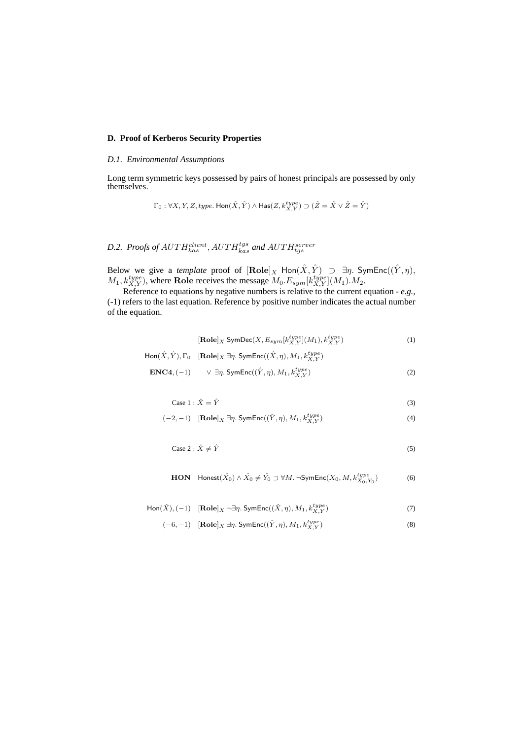# **D. Proof of Kerberos Security Properties**

## *D.1. Environmental Assumptions*

Long term symmetric keys possessed by pairs of honest principals are possessed by only themselves.

$$
\Gamma_0: \forall X,Y,Z,type.~\mathsf{Hon}(\hat{X},\hat{Y}) \wedge \mathsf{Has}(Z,k_{X,Y}^{type}) \supset (\hat{Z}=\hat{X} \vee \hat{Z}=\hat{Y})
$$

D.2. Proofs of  $AUTH_{kas}^{client}, AUTH_{kas}^{tgs}$  and  $AUTH_{tgs}^{server}$ 

Below we give a *template* proof of  $[\text{Role}]_X$  Hon $(\hat{X}, \hat{Y})$   $\supset \exists \eta$ . SymEnc $((\hat{Y}, \eta),$  $M_1, k_{X,Y}^{type}$ ), where Role receives the message  $M_0.E_{sym}[k_{X,Y}^{type}](M_1)$ .  $M_2$ .

Reference to equations by negative numbers is relative to the current equation - *e.g.*, (-1) refers to the last equation. Reference by positive number indicates the actual number of the equation.

$$
[\mathbf{Role}]_X \ \mathsf{SymDec}(X, E_{sym}[k_{X,Y}^{type}](M_1), k_{X,Y}^{type}) \tag{1}
$$

$$
\mathsf{Hom}(\hat{X},\hat{Y}),\Gamma_0 \quad [\mathbf{Role}]_X\ \exists \eta.\ \mathsf{SymEnc}((\hat{X},\eta),M_1,k_{X,Y}^{type})
$$

$$
\mathbf{ENC4}, (-1) \qquad \lor \ \exists \eta. \ \mathsf{SymEnc}((\hat{Y}, \eta), M_1, k_{X,Y}^{type}) \tag{2}
$$

Case 1: 
$$
\hat{X} = \hat{Y}
$$
 (3)

$$
(-2,-1) \quad [\text{Role}]_X \; \exists \eta. \; \text{SymEnc}((\hat{Y},\eta), M_1, k_{X,Y}^{type}) \tag{4}
$$

Case 2: 
$$
\hat{X} \neq \hat{Y}
$$
 (5)

**HON** Honest
$$
(\hat{X}_0) \wedge \hat{X}_0 \neq \hat{Y}_0 \supset \forall M. \neg \text{SymEnc}(X_0, M, k_{X_0, Y_0}^{type})
$$
 (6)

$$
\text{Hon}(\hat{X}), (-1) \quad [\text{Role}]_X \neg \exists \eta. \text{SymEnc}((\hat{X}, \eta), M_1, k_{X,Y}^{type}) \tag{7}
$$

$$
(-6,-1) \quad [\mathbf{Role}]_X \; \exists \eta. \; \mathsf{SymEnc}((\hat{Y},\eta), M_1, k_{X,Y}^{type}) \tag{8}
$$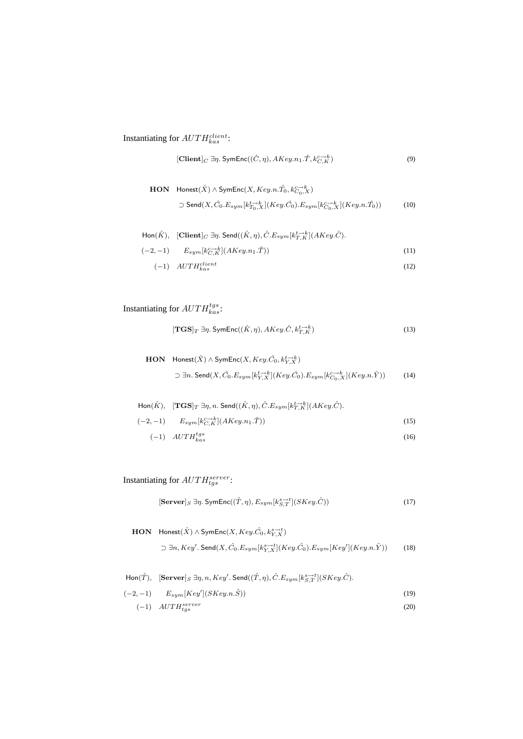Instantiating for  $AUTH_{kas}^{client}$ :

| $[\mathbf{Client}]_C \; \exists \eta. \; \mathsf{SymEnc}((\hat{C}, \eta), \mathit{AKey}.n_1.\hat{T}, k_{C.K}^{c \rightarrow k})$                                                                                                       | (9)  |
|----------------------------------------------------------------------------------------------------------------------------------------------------------------------------------------------------------------------------------------|------|
| <b>HON</b> Honest $(\hat{X}) \wedge$ SymEnc $(X, Key.n.\hat{T}_0, k_{C_0,X}^{c \rightarrow k})$<br>$\supset \mathsf{Send}(X, \hat{C}_0. E_{sym}[k_{T_0. X}^{t\to k}](Key. \hat{C}_0). E_{sym}[k_{C_0. X}^{c\to k}](Key. n.\hat{T}_0))$ | (10) |
| $\textsf{Hom}(\hat{K}), \quad [\textbf{Client}]_C \; \exists \eta. \; \textsf{Send}((\hat{K},\eta), \hat{C}.E_{sym}[k_{T,K}^{t \to k}](AKey.\hat{C}).$                                                                                 |      |
| $(-2,-1)$ $E_{sym}[k_{C,K}^{c\rightarrow k}](AKey.n_1.\hat{T}))$                                                                                                                                                                       | (11) |

$$
(-1) \quad AUTH_{kas}^{client} \tag{12}
$$

Instantiating for  $AUTH_{kas}^{tgs}$ :

$$
[\mathbf{TGS}]_T \exists \eta. \mathsf{SymEnc}((\hat{K}, \eta), AKey. \hat{C}, k_{T,K}^{t \to k})
$$
\n(13)

HON Honest(
$$
\hat{X}
$$
)  $\land$  SymEnc(X, Key.  $\hat{C}_0, k_{Y,X}^{t \to k}$ )

\n $\exists n. \text{Send}(X, \hat{C}_0. E_{sym}[k_{Y,X}^{t \to k}](Key. \hat{C}_0). E_{sym}[k_{C_0,X}^{c \to k}](Key. \hat{Y}))$ 

\n(14)

$$
\text{Hon}(\hat{K}), \quad [\mathbf{TGS}]_T \exists \eta, n. \text{ Send}((\hat{K}, \eta), \hat{C}.E_{sym}[k_{T,K}^{t \to k}](AKey.\hat{C}).
$$
\n
$$
(-2, -1) \qquad E_{sym}[k_{C,K}^{c \to k}](AKey.n_1.\hat{T}))
$$
\n
$$
(-1) \quad AUTH_{kas}^{tgs}
$$
\n
$$
(16)
$$

Instantiating for  $AUTH_{tgs}^{server}$ :

$$
[\text{Server}]_S \ \exists \eta. \ \text{SymEnc}((\hat{T}, \eta), E_{sym}[k_{S,T}^{s \to t}](SKey.\hat{C})) \tag{17}
$$

 $\mathbf{HON}\quad \mathsf{Honest}(\hat{X})\wedge \mathsf{SymEnc}(X, Key.\hat{C_0}, k_{Y,X}^{s\rightarrow t})$  $\supset \exists n, Key'.$  Send $(X, \hat{C}_0.E_{sym}[k_{Y,X}^{s\to t}](Key.\hat{C}_0).E_{sym}[Key'] (Key.n.\hat{Y}))$  (18)

 $\mathsf{Hom}(\hat{T}), \ \ \ [\mathbf{Server}]_S \ \exists \eta, n, Key'.\ \mathsf{Send}((\hat{T},\eta), \hat{C}.E_{sym}[k^{s \to t}_{S,T}](SKey.\hat{C}).$  $(-2, -1)$   $E_{sym}[Key'](SKey.n.\hat{S}))$  (19)  $(-1)$   $AUTH<sub>tgs</sub><sup>server</sup>$ tgs (20)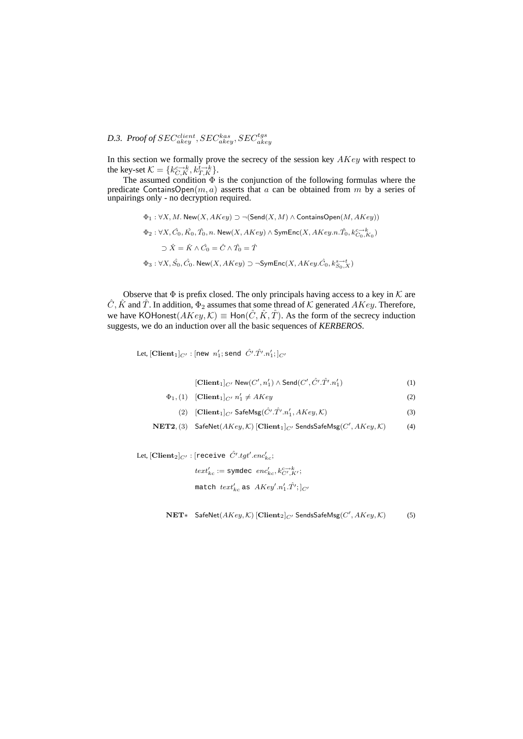# $D.3. \ \ Proof of SEC_{akey}^{client}, SEC_{akey}^{kas}, SEC_{akey}^{tgs}$

In this section we formally prove the secrecy of the session key  $AKey$  with respect to the key-set  $\mathcal{K} = \{k_{C,K}^{c \to k}, k_{T,K}^{t \to k}\}.$ 

The assumed condition  $\Phi$  is the conjunction of the following formulas where the predicate ContainsOpen $(m, a)$  asserts that a can be obtained from m by a series of unpairings only - no decryption required.

$$
\begin{aligned} \Phi_1:&\forall X,M.\ \textsf{New}(X, AKey)\supset \neg(\mathsf{Send}(X,M)\wedge \mathsf{containsOpen}(M,AKey))\\ \Phi_2:&\forall X,\hat{C_0},\hat{K_0},\hat{T_0},n.\ \textsf{New}(X,AKey)\wedge \mathsf{SymEnc}(X,AKey.n.\hat{T_0},k_{C_0,K_0}^{c\rightarrow k})\\ &\supset \hat{X}=\hat{K}\wedge \hat{C_0}=\hat{C}\wedge \hat{T_0}=\hat{T}\\ \Phi_3:&\forall X,\hat{S_0},\hat{C_0}.\ \textsf{New}(X,AKey)\supset \neg \mathsf{SymEnc}(X,AKey.\hat{C_0},k_{S_0,X}^{s\rightarrow t})\\ \end{aligned}
$$

Observe that  $\Phi$  is prefix closed. The only principals having access to a key in K are  $\hat{C}, \hat{K}$  and  $\hat{T}$ . In addition,  $\Phi_2$  assumes that some thread of  $K$  generated  $AKey$ . Therefore, we have KOHonest( $AKey, K$ )  $\equiv$  Hon( $\hat{C}, \hat{K}, \hat{T}$ ). As the form of the secrecy induction suggests, we do an induction over all the basic sequences of *KERBEROS*.

Let,  $[\mathbf{Client}_1]_{C'}: [\text{new} \enskip n'_1; \text{send} \enskip \hat{C'}. \hat{T'}.n'_1;]_{C'}$ 

 $[\mathbf{Client}_1]_{C'}$   $\mathsf{New}(C', n_1') \wedge \mathsf{Send}(C', \hat{C}'.\hat{T}'.n_1')$ ) (1)

- $\Phi_1$ , (1) [Client<sub>1</sub>]<sub>C'</sub>  $n'_1 \neq AKey$  (2)
	- (2)  $[\mathbf{Client}_1]_{C'}$  SafeMsg $(\hat{C}', \hat{T}', n'_1, AKey, \mathcal{K})$  (3)
- **NET2**, (3) SafeNet $(AKey, K)$  [Client<sub>1</sub>]<sub>C</sub>, SendsSafeMsg(C',  $AKey, K$ ) (4)

Let,  $[\mathbf{Client}_2]_{C'}: [\text{receive } \hat{C'}.tgt'.enc'_{kc};$ 

 $textmathit{text}'_{kc} := \texttt{symdec}\_enc'_{kc}, k^{c \rightarrow k}_{C', K'};$ match  $textmathit{text}'_{kc}$  as  $\mathit{AKey}'.n'_1.\hat{T'}; ]_{C'}$ 

**NET**∗ SafeNet $(AKey, K)$  [Client<sub>2</sub>]<sub>C</sub>, SendsSafeMsg( $C', AKey, K$ ) (5)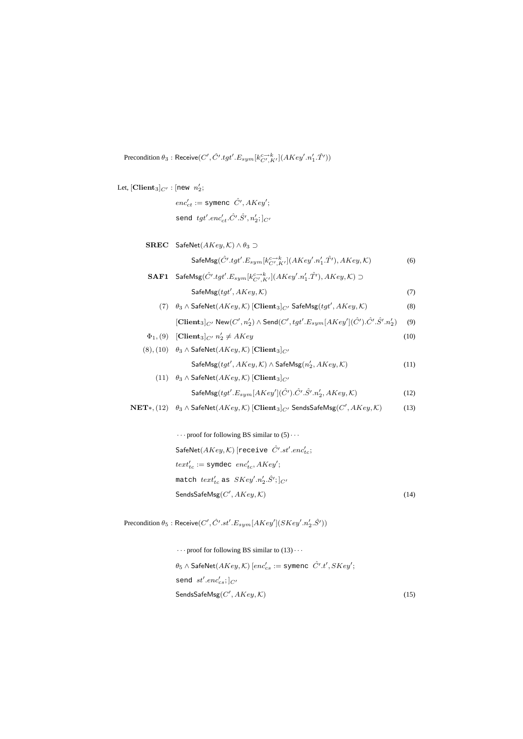Precondition  $\theta_3$ : Receive $(C', \hat{C}'.tgt'. E_{sym}[k_{C',K'}^{c\rightarrow k}](AKey'.n'_1.\hat{T'}))$ 

Let,  $[\text{Client}_3]_{C'} : [\text{new } n_2';$ 

 $enc'_{ct} :=$  symenc  $\hat{C'}$ ,  $AKey'$ ; send  $tgt'.enc'_{ct}.\hat{C}'.\hat{S}', n'_{2}; ]_{C'}$ 

|      | <b>SREC</b> SafeNet( $AKey, K$ ) $\land \theta_3$ $\supset$                                                                                               |      |
|------|-----------------------------------------------------------------------------------------------------------------------------------------------------------|------|
|      | SafeMsg( $\hat{C}' . tgt' . E_{sym}[k_{C'}^{c \to k}] (AKey'.n'_1.\hat{T}'), AKey, \mathcal{K})$                                                          | (6)  |
| SAF1 | SafeMsg( $\hat{C}' . tgt'. E_{sym}[k_{C',K'}^{c \rightarrow k}](AKey'.n'_1.\hat{T}'), AKey, \mathcal{K})$ )                                               |      |
|      | $SafeMsg(tqt', AKey, \mathcal{K})$                                                                                                                        | (7)  |
|      | (7) $\theta_3 \wedge$ SafeNet( $AKey, K$ ) [Client <sub>3</sub> ] <sub>C'</sub> SafeMsg(tgt', $AKey, K$ )                                                 | (8)  |
|      | $[\mathbf{Client}_3]_{C'}$ New $(C', n'_2) \wedge \mathsf{Send}(C', tgt'.E_{sym}[AKey'](\hat{C}').\hat{C}'.\hat{S}'.n'_2)$                                | (9)  |
|      | $\Phi_1$ , (9) [Client <sub>3</sub> ] <sub>C'</sub> $n'_2 \neq AKey$                                                                                      | (10) |
|      | $(8), (10)$ $\theta_3 \wedge$ SafeNet $(AKey, \mathcal{K})$ [Client <sub>3</sub> ] <sub><i>C'</i></sub>                                                   |      |
|      | SafeMsg $(tgt', AKey, K) \wedge$ SafeMsg $(n'_2, AKey, K)$                                                                                                | (11) |
|      | (11) $\theta_3 \wedge$ SafeNet( $AKey$ , K) [Client <sub>3</sub> ] <sub>C'</sub>                                                                          |      |
|      | SafeMsg(tgt'.E <sub>sum</sub> [AKey']( $\hat{C}'$ ). $\hat{C}'$ . $\hat{S}'$ .n' <sub>2</sub> , AKey, K)                                                  | (12) |
|      | $\mathbf{NET}*, (12) \quad \theta_3 \wedge \mathsf{SafeNet}(AKey, \mathcal{K})$ $[\mathbf{Client}_3]_{C'}$ $\mathsf{SendsSafeMsg}(C', AKey, \mathcal{K})$ | (13) |
|      |                                                                                                                                                           |      |
|      | $\cdots$ proof for following BS similar to $(5) \cdots$                                                                                                   |      |
|      | SafeNet( $AKey, K$ ) [receive $\hat{C}' . st'. enc'_{ts};$                                                                                                |      |
|      | $text'_{tc} :=$ symdec $enc'_{tc}, AKey';$                                                                                                                |      |
|      | match $text_{tc}$ as $SKey'.n'_2.\hat{S'}; _{C'}$                                                                                                         |      |
|      | SendsSafeMsg( $C', AKey, K$ )                                                                                                                             | (14) |

Precondition  $\theta_5$  : Receive $(C', \hat{C}'.st'.E_{sym}[AKey'] (SKey'.n'_2.\hat{S}'))$ 

| $\cdots$ proof for following BS similar to (13) $\cdots$                                |      |
|-----------------------------------------------------------------------------------------|------|
| $\theta_5 \wedge$ SafeNet( $AKey, K$ ) [ $enc'_{cs}$ := symenc $\hat{C}'$ t', $SKey'$ ; |      |
| send $st'.enc'_{cs}; _{C'}$                                                             |      |
| SendsSafeMsg( $C', AKey, K$ )                                                           | (15) |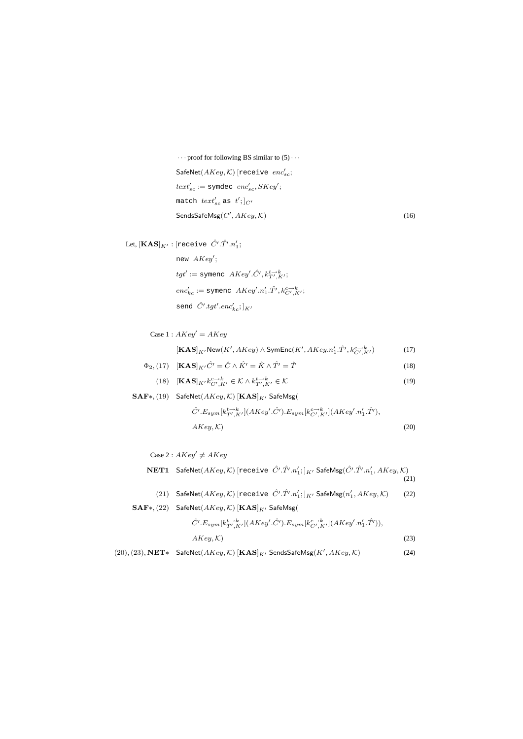```
\cdots proof for following BS similar to (5) \cdots\mathsf{SafeNet}(AKey, \mathcal{K}) [receive \mathit{enc}_{sc}^{\prime};text_{sc} := symdec enc_{sc}',SKey';match text_{sc} as t'; ]_{C'}SendsSafeMsg(C', AKey, \mathcal{K}) (16)
```
Let,  $[\mathbf{KAS}]_{K^{\prime}}:$  [receive  $\hat{C^{\prime}}.\hat{T^{\prime}}.n_{1}^{\prime};$ 

new  $AKey';$  $tgt' := \text{symenc } AKey'.\hat{C'}, k_{T',K'}^{t\rightarrow k};$  $enc^{\prime}_{kc} := \hbox{symenc } AKey'.n'_1.\hat{T'}, k_{C',K'}^{c \rightarrow k};$ send  $\hat{C'}.tgt'.enc'_{kc};]_{K'}$ 

Case 1 :  $AKey' = AKey$ 

| $[\textbf{KAS}]_{K'}$ New $(K', AKey) \wedge$ SymEnc $(K', AKey.n'_1 \cdot \hat{T'}, k_{C', K'}^{c \rightarrow k})$ | (17) |
|---------------------------------------------------------------------------------------------------------------------|------|
| $\Phi_2$ , (17) $[\mathbf{KAS}]_{K}$ , $\hat{C}' = \hat{C} \wedge \hat{K}' = \hat{K} \wedge \hat{T}' = \hat{T}$     | (18) |

$$
2, (11) \quad [\mathbf{I} \mathbf{A} \mathbf{B}] K^{\prime} \mathbf{C} = \mathbf{C} \wedge \mathbf{A} = \mathbf{A} \wedge \mathbf{I} = \mathbf{I} \tag{10}
$$

$$
(18)\quad[\mathbf{KAS}]_{K'}k_{C',K'}^{c\to k}\in\mathcal{K}\wedge k_{T',K'}^{t\to k}\in\mathcal{K}
$$
\n
$$
(19)
$$

- SAF<sup>\*</sup>, (19) SafeNet( $AKey$ ,  $K$ ) [KAS] $_{K'}$  SafeMsg(
	- $\hat{C}' \cdot E_{sym}[k_{T',K'}^{t\to k'}](AKey'.\hat{C}') \cdot E_{sym}[k_{C',K'}^{c\to k'}](AKey'.n'_1.\hat{T}'),$  $AKey, \mathcal{K})$  (20)

Case 2 :  $AKey' \neq AKey$ 

|                        | <b>NET1</b> SafeNet( $AKey, K$ ) [receive $\hat{C}' \cdot \hat{T}' \cdot n_1';$ ] $_{K'}$ SafeMsg( $\hat{C}' \cdot \hat{T}' \cdot n_1', AKey, K$ ) |      |
|------------------------|----------------------------------------------------------------------------------------------------------------------------------------------------|------|
|                        |                                                                                                                                                    | (21) |
| (21)                   | SafeNet( $AKey$ , $K$ ) [receive $\hat{C}' \cdot \hat{T}' \cdot n_1';$ ] $_{K'}$ SafeMsg( $n_1', AKey$ , $K$ )                                     | (22) |
| $\mathbf{SAF}$ *, (22) | SafeNet( $AKey, K$ ) [ $KAS$ ] $_{K'}$ SafeMsg(                                                                                                    |      |
|                        | $\hat{C}'E_{sym}[k_{T',K'}^{t\to k}](AKey'.\hat{C}')E_{sym}[k_{C',K'}^{c\to k}](AKey'.n'_1.\hat{T}')),$                                            |      |
|                        | AKev, K                                                                                                                                            | (23) |
|                        | $(20), (23), \textbf{NET}*$ SafeNet $(AKey, \mathcal{K})$ $[\textbf{KAS}]_{K'}$ SendsSafeMsg $(K', AKey, \mathcal{K})$                             | (24) |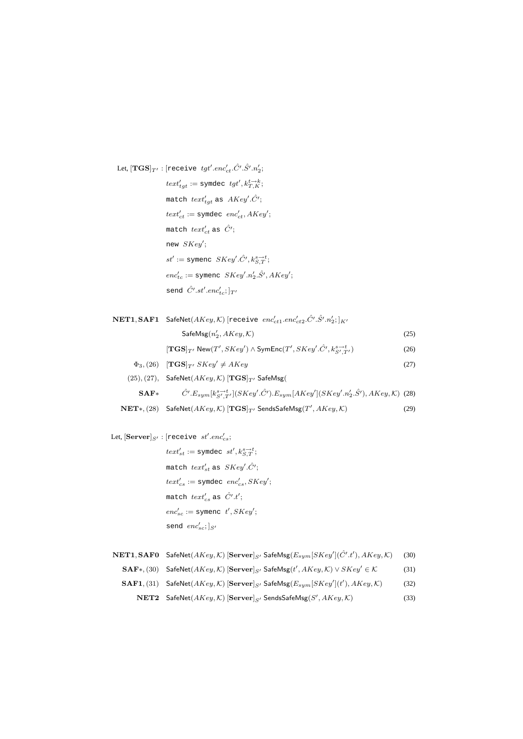Let,  $[{\bf TGS}]_{T^\prime}$  : [receive  $\mathit{tgt}'.\mathit{enc}'_{ct}.\hat{C^\prime}.\hat{S^\prime}.\mathit{n}'_2;$  $text_{tgt}':=$  symdec  $tgt', k_{T,K}^{t\rightarrow k};$ match  $text_{tgt}$  as  $AKey'.\hat{C'};$  $text_{ct} := \text{symdec } enc'_{ct}, AKey';$ match  $text_{ct}$  as  $\hat{C'};$ new  $SKey';$  $st' := \text{symenc } SKey'.\hat{C'}, k^{s \rightarrow t}_{S,T};$  $enc'_{tc} := \text{symenc } SKey'.n'_2.\hat{S}', AKey';$ send  $\hat{C}'$ .st'.en $c'_{tc}; ]_{T'}$ 

|        | $\mathbf{NET1},\mathbf{SAF1}$ $\quad$ SafeNet $(AKey,\mathcal{K})$ [receive $\mathit{enc}'_{ct1}.\mathit{enc}'_{ct2}.\hat{C'}. \hat{S'}.n'_2; _{K'}$ |      |
|--------|------------------------------------------------------------------------------------------------------------------------------------------------------|------|
|        | SafeMsg $(n'_2, AKey, \mathcal{K})$                                                                                                                  | (25) |
|        | $[\textbf{TGS}]_{T'}$ New $(T',SKey') \wedge \textsf{SymEnc}(T',SKey'.\hat{C}',k^{s\rightarrow t}_{S',T'})$                                          | (26) |
|        | $\Phi_3$ , (26) $[\text{TGS}]_{T}$ SKey' $\neq A$ Key                                                                                                | (27) |
|        | $(25), (27),$ SafeNet $(AKey, K)$ $[\text{TGS}]_{T'}$ SafeMsg(                                                                                       |      |
| $SAF*$ | $\hat{C}'E_{sym}[k_{S',T'}^{s\to t}](SKey'.\hat{C}')E_{sym}[AKey'](SKey'.n'_{2}.\hat{S}'), AKey,\mathcal{K})$ (28)                                   |      |
|        | NET*, (28) SafeNet( $AKey$ , $K$ ) $[{\mathbf{TGS}}]_{T}$ , SendsSafeMsg(T', $AKey$ , $K$ )                                                          | (29) |

Let,  $[\mathbf{Server}]_{S'}: [\texttt{receive } st'.enc'_{cs};$ 

 $text_{st}':=\text{symdec } st',k_{S,T}^{s\rightarrow t};$ match  $text_{st}$  as  $SKey'.\hat{C'};$  $text_{cs} :=$  symdec  $enc_{cs}',SKey';$ match  $text_{cs}$  as  $\hat{C^{\prime}}.t^{\prime};$  $enc'_{sc} :=$  symenc  $t', SKey';$ send  $enc'_{sc}$ ; |s

| $\mathbf{NET1},\mathbf{SAF0} \quad \mathsf{SafeNet}(AKey,\mathcal{K}) \left[\mathbf{Server}\right]_{S'} \mathsf{SafeMsg}(E_{sym}[SKey'](\hat{C}'.t'), AKey, \mathcal{K})$ | (30) |
|---------------------------------------------------------------------------------------------------------------------------------------------------------------------------|------|
| <b>SAF</b> *, (30) SafeNet( $AKey$ , K) [Server] $\ltimes$ SafeMsg(t', $AKey$ , K) $\vee$ SKey' $\in$ K                                                                   | (31) |
| <b>SAF1</b> , (31) SafeNet( $AKey, K$ ) [Server] $S$ SafeMsg( $E_{sum}$ [ $SKey'$ ]( $t'$ ), $AKey, K$ )                                                                  | (32) |
| <b>NET2</b> SafeNet( $AKey, K$ ) [Server] $S$ SendsSafeMsg( $S'$ , $AKey, K$ )                                                                                            | (33) |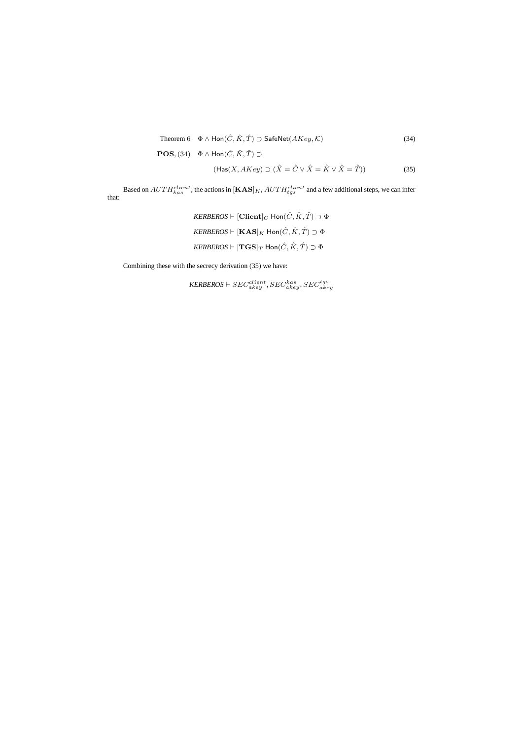Theorem 6 
$$
\Phi \wedge \text{Hom}(\hat{C}, \hat{K}, \hat{T}) \supset \text{SafeNet}(AKey, \mathcal{K})
$$
 (34)  
\n $\text{POS}, (34) \Phi \wedge \text{Hom}(\hat{C}, \hat{K}, \hat{T}) \supset$   
\n $(\text{Has}(X, AKey) \supset (\hat{X} = \hat{C} \vee \hat{X} = \hat{K} \vee \hat{X} = \hat{T}))$  (35)

Based on  $AUTH_{kas}^{client}$ , the actions in  $[KAS]_K$ ,  $AUTH_{tgs}^{client}$  and a few additional steps, we can infer that:

$$
\begin{aligned} \mathit{KERBEROS}\vdash [\mathbf{Client}]_C \; \mathsf{Hon}(\hat{C}, \hat{K}, \hat{T}) \supset \Phi \\ \mathit{KERBEROS}\vdash [\mathbf{KAS}]_K \; \mathsf{Hon}(\hat{C}, \hat{K}, \hat{T}) \supset \Phi \\ \mathit{KERBEROS}\vdash [\mathbf{TGS}]_T \; \mathsf{Hon}(\hat{C}, \hat{K}, \hat{T}) \supset \Phi \end{aligned}
$$

Combining these with the secrecy derivation (35) we have:

 $\textit{KERBEROS}\vdash \textit{SEC}_\textit{akey}^\textit{client}, \textit{SEC}_\textit{akey}^\textit{kas}, \textit{SEC}_\textit{akey}^\textit{tgs}$